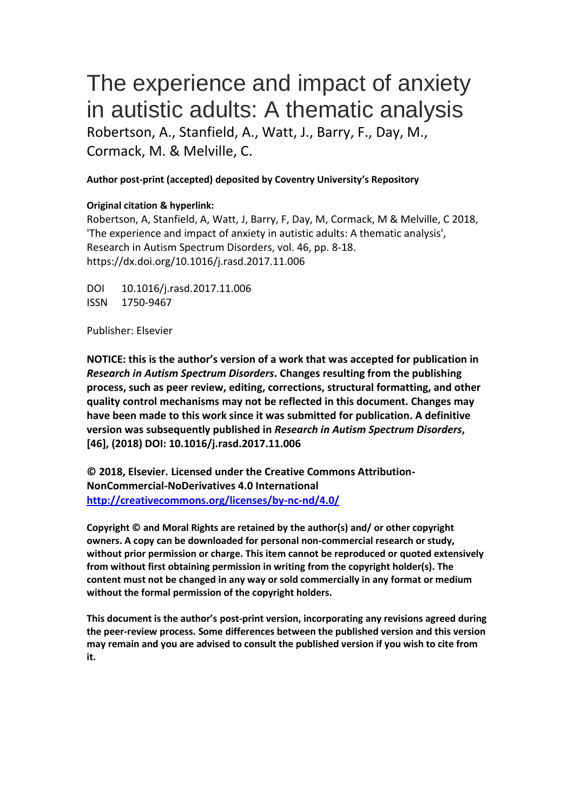# The experience and impact of anxiety in autistic adults: A thematic analysis Robertson, A., Stanfield, A., Watt, J., Barry, F., Day, M., Cormack, M. & Melville, C.

## **Author post-print (accepted) deposited by Coventry University's Repository**

## **Original citation & hyperlink:**

Robertson, A, Stanfield, A, Watt, J, Barry, F, Day, M, Cormack, M & Melville, C 2018, 'The experience and impact of anxiety in autistic adults: A thematic analysis', Research in Autism Spectrum Disorders, vol. 46, pp. 8-18. https://dx.doi.org/10.1016/j.rasd.2017.11.006

DOI 10.1016/j.rasd.2017.11.006 ISSN 1750-9467

Publisher: Elsevier

**NOTICE: this is the author's version of a work that was accepted for publication in**  *Research in Autism Spectrum Disorders***. Changes resulting from the publishing process, such as peer review, editing, corrections, structural formatting, and other quality control mechanisms may not be reflected in this document. Changes may have been made to this work since it was submitted for publication. A definitive version was subsequently published in** *Research in Autism Spectrum Disorders***, [46], (2018) DOI: 10.1016/j.rasd.2017.11.006**

**© 2018, Elsevier. Licensed under the Creative Commons Attribution-NonCommercial-NoDerivatives 4.0 International <http://creativecommons.org/licenses/by-nc-nd/4.0/>**

**Copyright © and Moral Rights are retained by the author(s) and/ or other copyright owners. A copy can be downloaded for personal non-commercial research or study, without prior permission or charge. This item cannot be reproduced or quoted extensively from without first obtaining permission in writing from the copyright holder(s). The content must not be changed in any way or sold commercially in any format or medium without the formal permission of the copyright holders.** 

**This document is the author's post-print version, incorporating any revisions agreed during the peer-review process. Some differences between the published version and this version may remain and you are advised to consult the published version if you wish to cite from it.**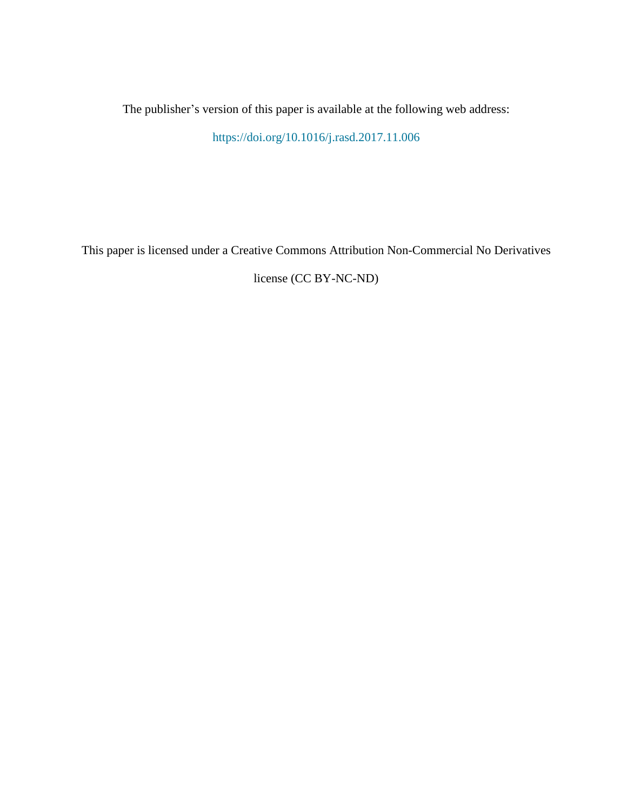The publisher's version of this paper is available at the following web address:

<https://doi.org/10.1016/j.rasd.2017.11.006>

This paper is licensed under a Creative Commons Attribution Non-Commercial No Derivatives

license (CC BY-NC-ND)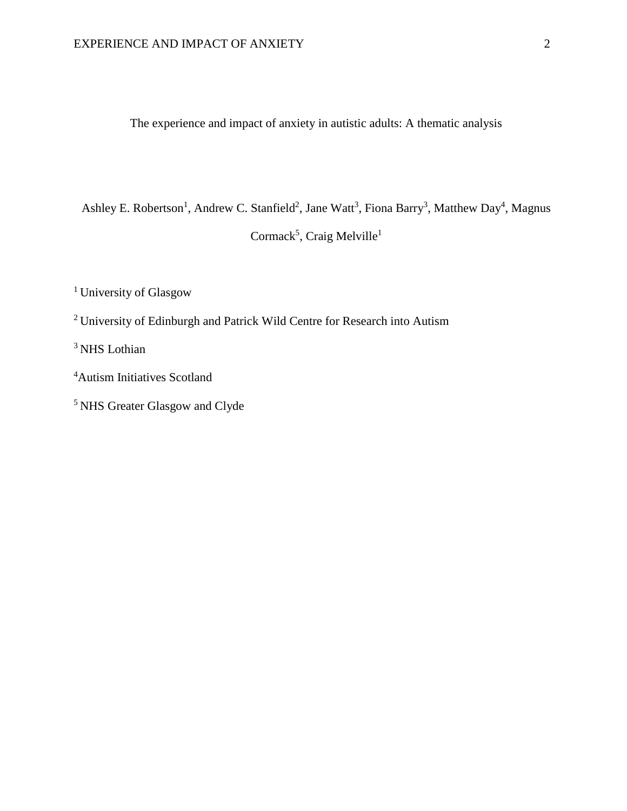The experience and impact of anxiety in autistic adults: A thematic analysis

Ashley E. Robertson<sup>1</sup>, Andrew C. Stanfield<sup>2</sup>, Jane Watt<sup>3</sup>, Fiona Barry<sup>3</sup>, Matthew Day<sup>4</sup>, Magnus Cormack<sup>5</sup>, Craig Melville<sup>1</sup>

<sup>1</sup> University of Glasgow

<sup>2</sup>University of Edinburgh and Patrick Wild Centre for Research into Autism

<sup>3</sup> NHS Lothian

- <sup>4</sup>Autism Initiatives Scotland
- <sup>5</sup> NHS Greater Glasgow and Clyde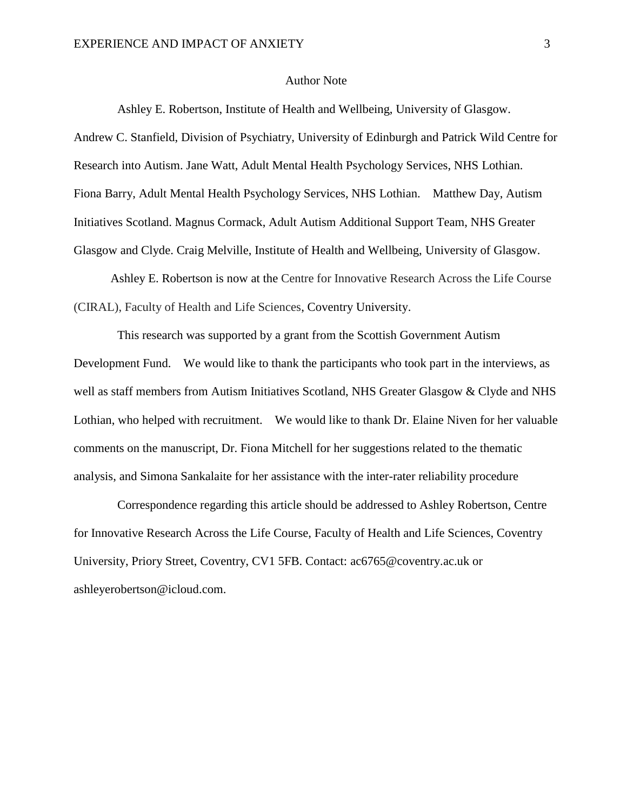#### Author Note

Ashley E. Robertson, Institute of Health and Wellbeing, University of Glasgow. Andrew C. Stanfield, Division of Psychiatry, University of Edinburgh and Patrick Wild Centre for Research into Autism. Jane Watt, Adult Mental Health Psychology Services, NHS Lothian. Fiona Barry, Adult Mental Health Psychology Services, NHS Lothian. Matthew Day, Autism Initiatives Scotland. Magnus Cormack, Adult Autism Additional Support Team, NHS Greater Glasgow and Clyde. Craig Melville, Institute of Health and Wellbeing, University of Glasgow.

Ashley E. Robertson is now at the Centre for Innovative Research Across the Life Course (CIRAL), Faculty of Health and Life Sciences, Coventry University.

This research was supported by a grant from the Scottish Government Autism Development Fund. We would like to thank the participants who took part in the interviews, as well as staff members from Autism Initiatives Scotland, NHS Greater Glasgow & Clyde and NHS Lothian, who helped with recruitment. We would like to thank Dr. Elaine Niven for her valuable comments on the manuscript, Dr. Fiona Mitchell for her suggestions related to the thematic analysis, and Simona Sankalaite for her assistance with the inter-rater reliability procedure

Correspondence regarding this article should be addressed to Ashley Robertson, Centre for Innovative Research Across the Life Course, Faculty of Health and Life Sciences, Coventry University, Priory Street, Coventry, CV1 5FB. Contact: [ac6765@coventry.ac.uk](mailto:ac6765@coventry.ac.uk) or ashleyerobertson@icloud.com.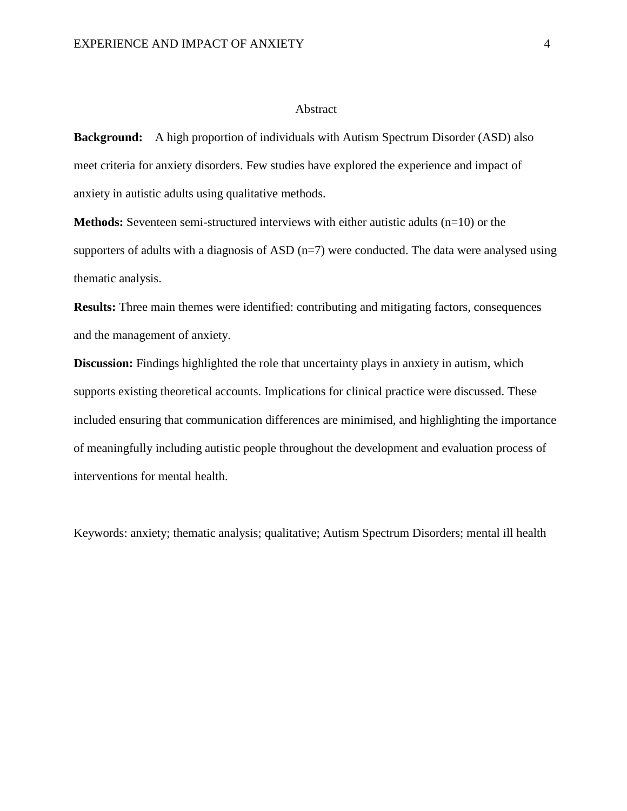#### Abstract

**Background:** A high proportion of individuals with Autism Spectrum Disorder (ASD) also meet criteria for anxiety disorders. Few studies have explored the experience and impact of anxiety in autistic adults using qualitative methods.

**Methods:** Seventeen semi-structured interviews with either autistic adults (n=10) or the supporters of adults with a diagnosis of ASD  $(n=7)$  were conducted. The data were analysed using thematic analysis.

**Results:** Three main themes were identified: contributing and mitigating factors, consequences and the management of anxiety.

**Discussion:** Findings highlighted the role that uncertainty plays in anxiety in autism, which supports existing theoretical accounts. Implications for clinical practice were discussed. These included ensuring that communication differences are minimised, and highlighting the importance of meaningfully including autistic people throughout the development and evaluation process of interventions for mental health.

Keywords: anxiety; thematic analysis; qualitative; Autism Spectrum Disorders; mental ill health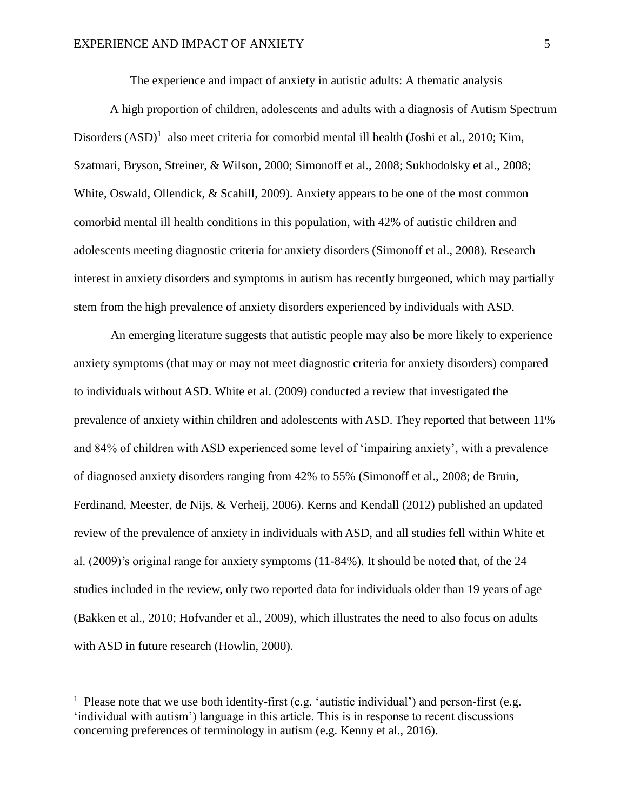The experience and impact of anxiety in autistic adults: A thematic analysis

A high proportion of children, adolescents and adults with a diagnosis of Autism Spectrum Disorders  $(ASD)^1$  also meet criteria for comorbid mental ill health (Joshi et al., 2010; Kim, Szatmari, Bryson, Streiner, & Wilson, 2000; Simonoff et al., 2008; Sukhodolsky et al., 2008; White, Oswald, Ollendick, & Scahill, 2009). Anxiety appears to be one of the most common comorbid mental ill health conditions in this population, with 42% of autistic children and adolescents meeting diagnostic criteria for anxiety disorders (Simonoff et al., 2008). Research interest in anxiety disorders and symptoms in autism has recently burgeoned, which may partially stem from the high prevalence of anxiety disorders experienced by individuals with ASD.

An emerging literature suggests that autistic people may also be more likely to experience anxiety symptoms (that may or may not meet diagnostic criteria for anxiety disorders) compared to individuals without ASD. White et al. (2009) conducted a review that investigated the prevalence of anxiety within children and adolescents with ASD. They reported that between 11% and 84% of children with ASD experienced some level of 'impairing anxiety', with a prevalence of diagnosed anxiety disorders ranging from 42% to 55% (Simonoff et al., 2008; de Bruin, Ferdinand, Meester, de Nijs, & Verheij, 2006). Kerns and Kendall (2012) published an updated review of the prevalence of anxiety in individuals with ASD, and all studies fell within White et al. (2009)'s original range for anxiety symptoms (11-84%). It should be noted that, of the 24 studies included in the review, only two reported data for individuals older than 19 years of age (Bakken et al., 2010; Hofvander et al., 2009), which illustrates the need to also focus on adults with ASD in future research (Howlin, 2000).

 $\overline{a}$ 

<sup>&</sup>lt;sup>1</sup> Please note that we use both identity-first (e.g. 'autistic individual') and person-first (e.g. 'individual with autism') language in this article. This is in response to recent discussions concerning preferences of terminology in autism (e.g. Kenny et al., 2016).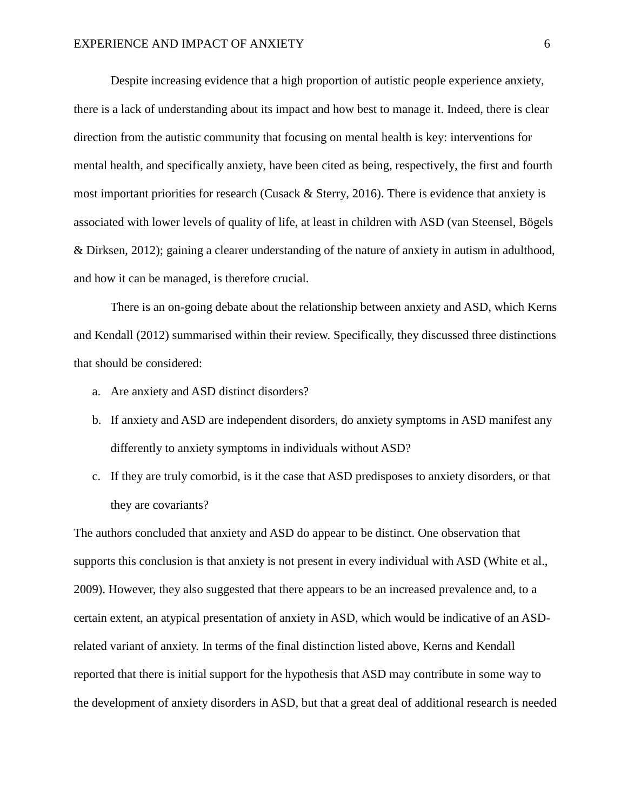Despite increasing evidence that a high proportion of autistic people experience anxiety, there is a lack of understanding about its impact and how best to manage it. Indeed, there is clear direction from the autistic community that focusing on mental health is key: interventions for mental health, and specifically anxiety, have been cited as being, respectively, the first and fourth most important priorities for research (Cusack & Sterry, 2016). There is evidence that anxiety is associated with lower levels of quality of life, at least in children with ASD (van Steensel, Bögels & Dirksen, 2012); gaining a clearer understanding of the nature of anxiety in autism in adulthood, and how it can be managed, is therefore crucial.

There is an on-going debate about the relationship between anxiety and ASD, which Kerns and Kendall (2012) summarised within their review. Specifically, they discussed three distinctions that should be considered:

- a. Are anxiety and ASD distinct disorders?
- b. If anxiety and ASD are independent disorders, do anxiety symptoms in ASD manifest any differently to anxiety symptoms in individuals without ASD?
- c. If they are truly comorbid, is it the case that ASD predisposes to anxiety disorders, or that they are covariants?

The authors concluded that anxiety and ASD do appear to be distinct. One observation that supports this conclusion is that anxiety is not present in every individual with ASD (White et al., 2009). However, they also suggested that there appears to be an increased prevalence and, to a certain extent, an atypical presentation of anxiety in ASD, which would be indicative of an ASDrelated variant of anxiety. In terms of the final distinction listed above, Kerns and Kendall reported that there is initial support for the hypothesis that ASD may contribute in some way to the development of anxiety disorders in ASD, but that a great deal of additional research is needed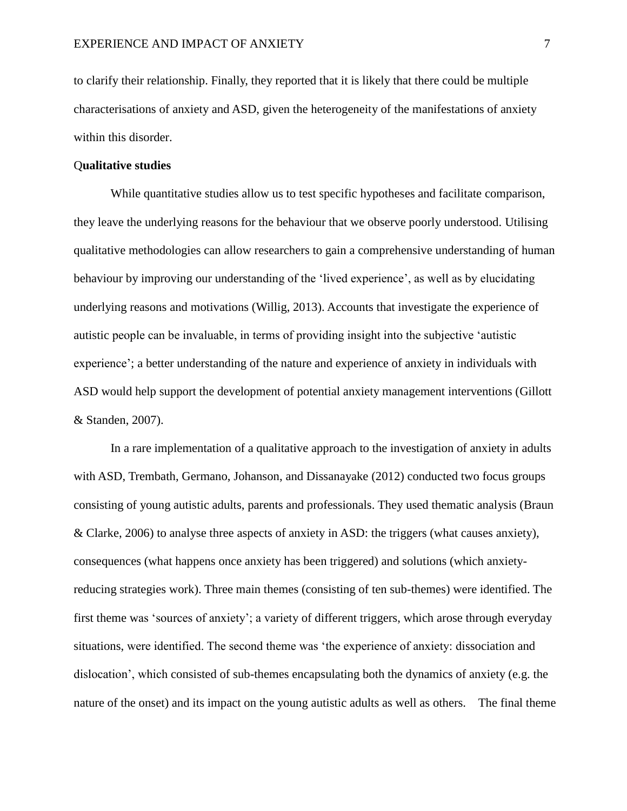to clarify their relationship. Finally, they reported that it is likely that there could be multiple characterisations of anxiety and ASD, given the heterogeneity of the manifestations of anxiety within this disorder.

## Q**ualitative studies**

While quantitative studies allow us to test specific hypotheses and facilitate comparison, they leave the underlying reasons for the behaviour that we observe poorly understood. Utilising qualitative methodologies can allow researchers to gain a comprehensive understanding of human behaviour by improving our understanding of the 'lived experience', as well as by elucidating underlying reasons and motivations (Willig, 2013). Accounts that investigate the experience of autistic people can be invaluable, in terms of providing insight into the subjective 'autistic experience'; a better understanding of the nature and experience of anxiety in individuals with ASD would help support the development of potential anxiety management interventions (Gillott & Standen, 2007).

In a rare implementation of a qualitative approach to the investigation of anxiety in adults with ASD, Trembath, Germano, Johanson, and Dissanayake (2012) conducted two focus groups consisting of young autistic adults, parents and professionals. They used thematic analysis (Braun & Clarke, 2006) to analyse three aspects of anxiety in ASD: the triggers (what causes anxiety), consequences (what happens once anxiety has been triggered) and solutions (which anxietyreducing strategies work). Three main themes (consisting of ten sub-themes) were identified. The first theme was 'sources of anxiety'; a variety of different triggers, which arose through everyday situations, were identified. The second theme was 'the experience of anxiety: dissociation and dislocation', which consisted of sub-themes encapsulating both the dynamics of anxiety (e.g. the nature of the onset) and its impact on the young autistic adults as well as others. The final theme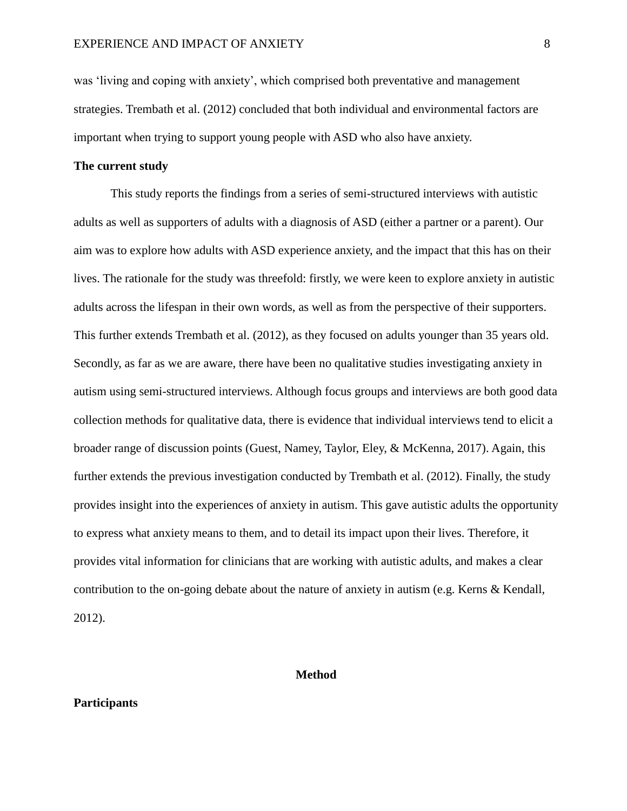was 'living and coping with anxiety', which comprised both preventative and management strategies. Trembath et al. (2012) concluded that both individual and environmental factors are important when trying to support young people with ASD who also have anxiety.

## **The current study**

This study reports the findings from a series of semi-structured interviews with autistic adults as well as supporters of adults with a diagnosis of ASD (either a partner or a parent). Our aim was to explore how adults with ASD experience anxiety, and the impact that this has on their lives. The rationale for the study was threefold: firstly, we were keen to explore anxiety in autistic adults across the lifespan in their own words, as well as from the perspective of their supporters. This further extends Trembath et al. (2012), as they focused on adults younger than 35 years old. Secondly, as far as we are aware, there have been no qualitative studies investigating anxiety in autism using semi-structured interviews. Although focus groups and interviews are both good data collection methods for qualitative data, there is evidence that individual interviews tend to elicit a broader range of discussion points (Guest, Namey, Taylor, Eley, & McKenna, 2017). Again, this further extends the previous investigation conducted by Trembath et al. (2012). Finally, the study provides insight into the experiences of anxiety in autism. This gave autistic adults the opportunity to express what anxiety means to them, and to detail its impact upon their lives. Therefore, it provides vital information for clinicians that are working with autistic adults, and makes a clear contribution to the on-going debate about the nature of anxiety in autism (e.g. Kerns & Kendall, 2012).

#### **Method**

#### **Participants**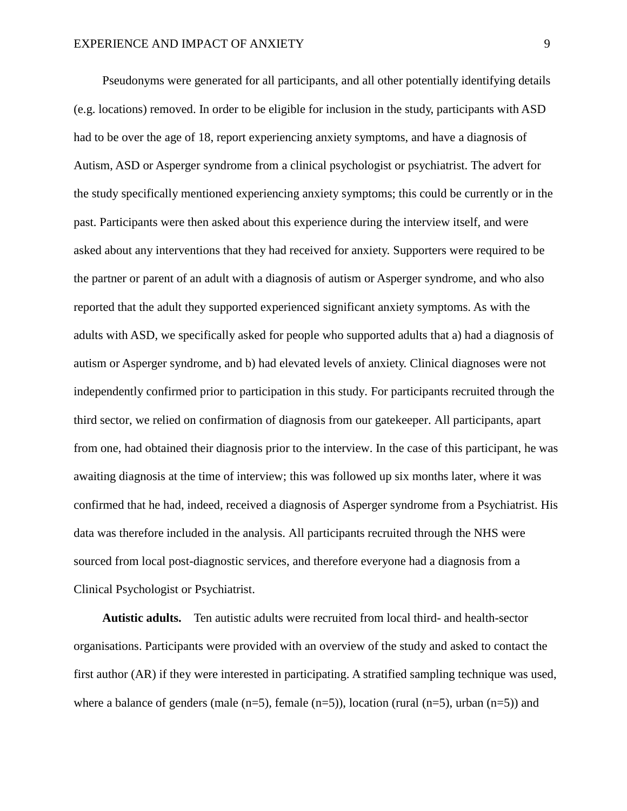Pseudonyms were generated for all participants, and all other potentially identifying details (e.g. locations) removed. In order to be eligible for inclusion in the study, participants with ASD had to be over the age of 18, report experiencing anxiety symptoms, and have a diagnosis of Autism, ASD or Asperger syndrome from a clinical psychologist or psychiatrist. The advert for the study specifically mentioned experiencing anxiety symptoms; this could be currently or in the past. Participants were then asked about this experience during the interview itself, and were asked about any interventions that they had received for anxiety. Supporters were required to be the partner or parent of an adult with a diagnosis of autism or Asperger syndrome, and who also reported that the adult they supported experienced significant anxiety symptoms. As with the adults with ASD, we specifically asked for people who supported adults that a) had a diagnosis of autism or Asperger syndrome, and b) had elevated levels of anxiety. Clinical diagnoses were not independently confirmed prior to participation in this study. For participants recruited through the third sector, we relied on confirmation of diagnosis from our gatekeeper. All participants, apart from one, had obtained their diagnosis prior to the interview. In the case of this participant, he was awaiting diagnosis at the time of interview; this was followed up six months later, where it was confirmed that he had, indeed, received a diagnosis of Asperger syndrome from a Psychiatrist. His data was therefore included in the analysis. All participants recruited through the NHS were sourced from local post-diagnostic services, and therefore everyone had a diagnosis from a Clinical Psychologist or Psychiatrist.

**Autistic adults.** Ten autistic adults were recruited from local third- and health-sector organisations. Participants were provided with an overview of the study and asked to contact the first author (AR) if they were interested in participating. A stratified sampling technique was used, where a balance of genders (male  $(n=5)$ , female  $(n=5)$ ), location (rural  $(n=5)$ , urban  $(n=5)$ ) and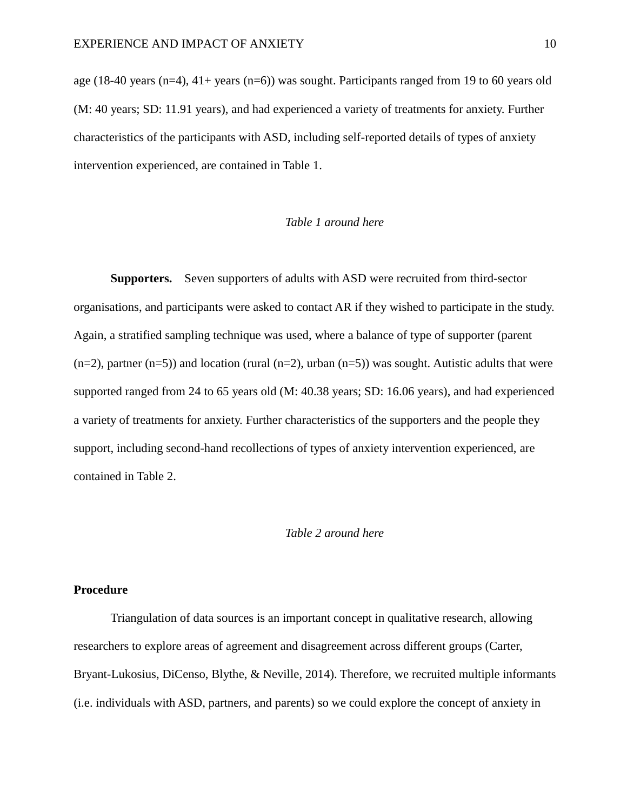age (18-40 years (n=4),  $41+$  years (n=6)) was sought. Participants ranged from 19 to 60 years old (M: 40 years; SD: 11.91 years), and had experienced a variety of treatments for anxiety. Further characteristics of the participants with ASD, including self-reported details of types of anxiety intervention experienced, are contained in Table 1.

# *Table 1 around here*

**Supporters.** Seven supporters of adults with ASD were recruited from third-sector organisations, and participants were asked to contact AR if they wished to participate in the study. Again, a stratified sampling technique was used, where a balance of type of supporter (parent  $(n=2)$ , partner  $(n=5)$ ) and location (rural  $(n=2)$ , urban  $(n=5)$ ) was sought. Autistic adults that were supported ranged from 24 to 65 years old (M: 40.38 years; SD: 16.06 years), and had experienced a variety of treatments for anxiety. Further characteristics of the supporters and the people they support, including second-hand recollections of types of anxiety intervention experienced, are contained in Table 2.

#### *Table 2 around here*

#### **Procedure**

Triangulation of data sources is an important concept in qualitative research, allowing researchers to explore areas of agreement and disagreement across different groups (Carter, Bryant-Lukosius, DiCenso, Blythe, & Neville, 2014). Therefore, we recruited multiple informants (i.e. individuals with ASD, partners, and parents) so we could explore the concept of anxiety in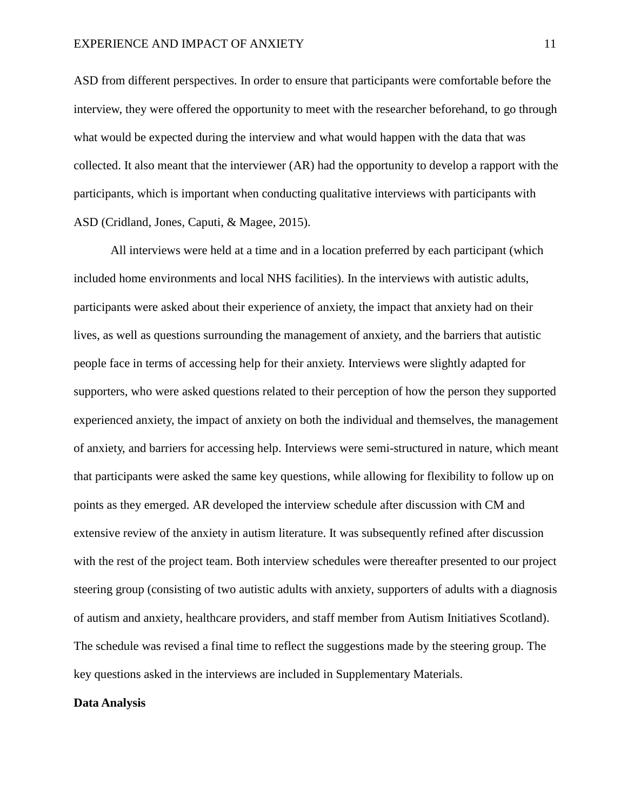ASD from different perspectives. In order to ensure that participants were comfortable before the interview, they were offered the opportunity to meet with the researcher beforehand, to go through what would be expected during the interview and what would happen with the data that was collected. It also meant that the interviewer (AR) had the opportunity to develop a rapport with the participants, which is important when conducting qualitative interviews with participants with ASD (Cridland, Jones, Caputi, & Magee, 2015).

All interviews were held at a time and in a location preferred by each participant (which included home environments and local NHS facilities). In the interviews with autistic adults, participants were asked about their experience of anxiety, the impact that anxiety had on their lives, as well as questions surrounding the management of anxiety, and the barriers that autistic people face in terms of accessing help for their anxiety. Interviews were slightly adapted for supporters, who were asked questions related to their perception of how the person they supported experienced anxiety, the impact of anxiety on both the individual and themselves, the management of anxiety, and barriers for accessing help. Interviews were semi-structured in nature, which meant that participants were asked the same key questions, while allowing for flexibility to follow up on points as they emerged. AR developed the interview schedule after discussion with CM and extensive review of the anxiety in autism literature. It was subsequently refined after discussion with the rest of the project team. Both interview schedules were thereafter presented to our project steering group (consisting of two autistic adults with anxiety, supporters of adults with a diagnosis of autism and anxiety, healthcare providers, and staff member from Autism Initiatives Scotland). The schedule was revised a final time to reflect the suggestions made by the steering group. The key questions asked in the interviews are included in Supplementary Materials.

#### **Data Analysis**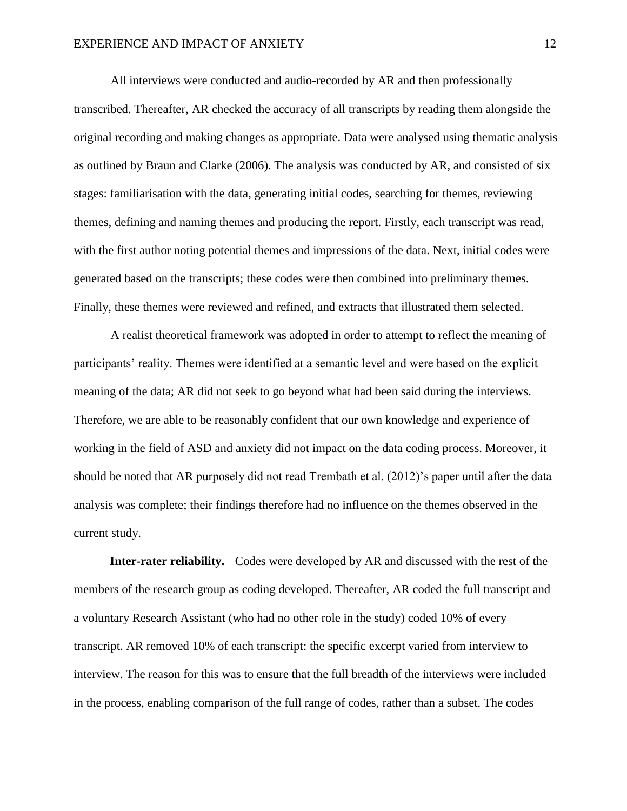All interviews were conducted and audio-recorded by AR and then professionally transcribed. Thereafter, AR checked the accuracy of all transcripts by reading them alongside the original recording and making changes as appropriate. Data were analysed using thematic analysis as outlined by Braun and Clarke (2006). The analysis was conducted by AR, and consisted of six stages: familiarisation with the data, generating initial codes, searching for themes, reviewing themes, defining and naming themes and producing the report. Firstly, each transcript was read, with the first author noting potential themes and impressions of the data. Next, initial codes were generated based on the transcripts; these codes were then combined into preliminary themes. Finally, these themes were reviewed and refined, and extracts that illustrated them selected.

A realist theoretical framework was adopted in order to attempt to reflect the meaning of participants' reality. Themes were identified at a semantic level and were based on the explicit meaning of the data; AR did not seek to go beyond what had been said during the interviews. Therefore, we are able to be reasonably confident that our own knowledge and experience of working in the field of ASD and anxiety did not impact on the data coding process. Moreover, it should be noted that AR purposely did not read Trembath et al. (2012)'s paper until after the data analysis was complete; their findings therefore had no influence on the themes observed in the current study.

**Inter-rater reliability.** Codes were developed by AR and discussed with the rest of the members of the research group as coding developed. Thereafter, AR coded the full transcript and a voluntary Research Assistant (who had no other role in the study) coded 10% of every transcript. AR removed 10% of each transcript: the specific excerpt varied from interview to interview. The reason for this was to ensure that the full breadth of the interviews were included in the process, enabling comparison of the full range of codes, rather than a subset. The codes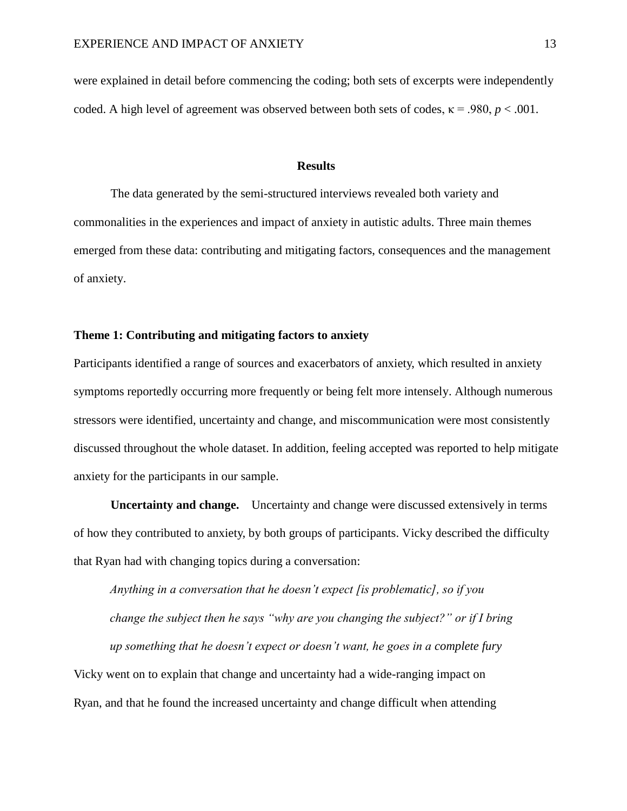were explained in detail before commencing the coding; both sets of excerpts were independently coded. A high level of agreement was observed between both sets of codes,  $\kappa = .980$ ,  $p < .001$ .

#### **Results**

The data generated by the semi-structured interviews revealed both variety and commonalities in the experiences and impact of anxiety in autistic adults. Three main themes emerged from these data: contributing and mitigating factors, consequences and the management of anxiety.

## **Theme 1: Contributing and mitigating factors to anxiety**

Participants identified a range of sources and exacerbators of anxiety, which resulted in anxiety symptoms reportedly occurring more frequently or being felt more intensely. Although numerous stressors were identified, uncertainty and change, and miscommunication were most consistently discussed throughout the whole dataset. In addition, feeling accepted was reported to help mitigate anxiety for the participants in our sample.

**Uncertainty and change.** Uncertainty and change were discussed extensively in terms of how they contributed to anxiety, by both groups of participants. Vicky described the difficulty that Ryan had with changing topics during a conversation:

*Anything in a conversation that he doesn't expect [is problematic], so if you change the subject then he says "why are you changing the subject?" or if I bring up something that he doesn't expect or doesn't want, he goes in a complete fury* Vicky went on to explain that change and uncertainty had a wide-ranging impact on Ryan, and that he found the increased uncertainty and change difficult when attending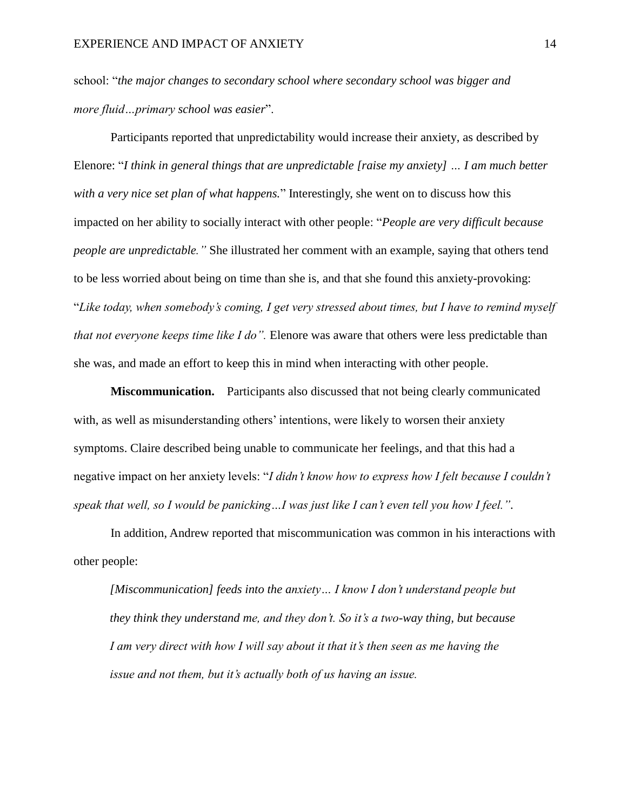school: "*the major changes to secondary school where secondary school was bigger and more fluid…primary school was easier*".

Participants reported that unpredictability would increase their anxiety, as described by Elenore: "*I think in general things that are unpredictable [raise my anxiety] … I am much better with a very nice set plan of what happens.*" Interestingly, she went on to discuss how this impacted on her ability to socially interact with other people: "*People are very difficult because people are unpredictable."* She illustrated her comment with an example, saying that others tend to be less worried about being on time than she is, and that she found this anxiety-provoking: "*Like today, when somebody's coming, I get very stressed about times, but I have to remind myself that not everyone keeps time like I do".* Elenore was aware that others were less predictable than she was, and made an effort to keep this in mind when interacting with other people.

**Miscommunication.** Participants also discussed that not being clearly communicated with, as well as misunderstanding others' intentions, were likely to worsen their anxiety symptoms. Claire described being unable to communicate her feelings, and that this had a negative impact on her anxiety levels: "*I didn't know how to express how I felt because I couldn't speak that well, so I would be panicking…I was just like I can't even tell you how I feel.".*

In addition, Andrew reported that miscommunication was common in his interactions with other people:

*[Miscommunication] feeds into the anxiety… I know I don't understand people but they think they understand me, and they don't. So it's a two-way thing, but because I am very direct with how I will say about it that it's then seen as me having the issue and not them, but it's actually both of us having an issue.*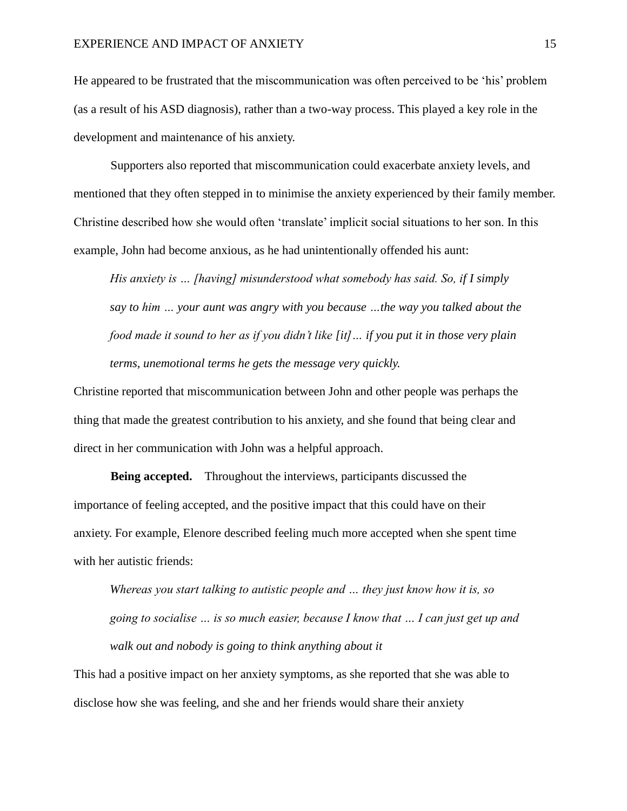He appeared to be frustrated that the miscommunication was often perceived to be 'his' problem (as a result of his ASD diagnosis), rather than a two-way process. This played a key role in the development and maintenance of his anxiety.

Supporters also reported that miscommunication could exacerbate anxiety levels, and mentioned that they often stepped in to minimise the anxiety experienced by their family member. Christine described how she would often 'translate' implicit social situations to her son. In this example, John had become anxious, as he had unintentionally offended his aunt:

*His anxiety is … [having] misunderstood what somebody has said. So, if I simply say to him … your aunt was angry with you because …the way you talked about the food made it sound to her as if you didn't like [it]… if you put it in those very plain terms, unemotional terms he gets the message very quickly.* 

Christine reported that miscommunication between John and other people was perhaps the thing that made the greatest contribution to his anxiety, and she found that being clear and direct in her communication with John was a helpful approach.

**Being accepted.** Throughout the interviews, participants discussed the importance of feeling accepted, and the positive impact that this could have on their anxiety. For example, Elenore described feeling much more accepted when she spent time with her autistic friends:

*Whereas you start talking to autistic people and … they just know how it is, so going to socialise … is so much easier, because I know that … I can just get up and walk out and nobody is going to think anything about it* 

This had a positive impact on her anxiety symptoms, as she reported that she was able to disclose how she was feeling, and she and her friends would share their anxiety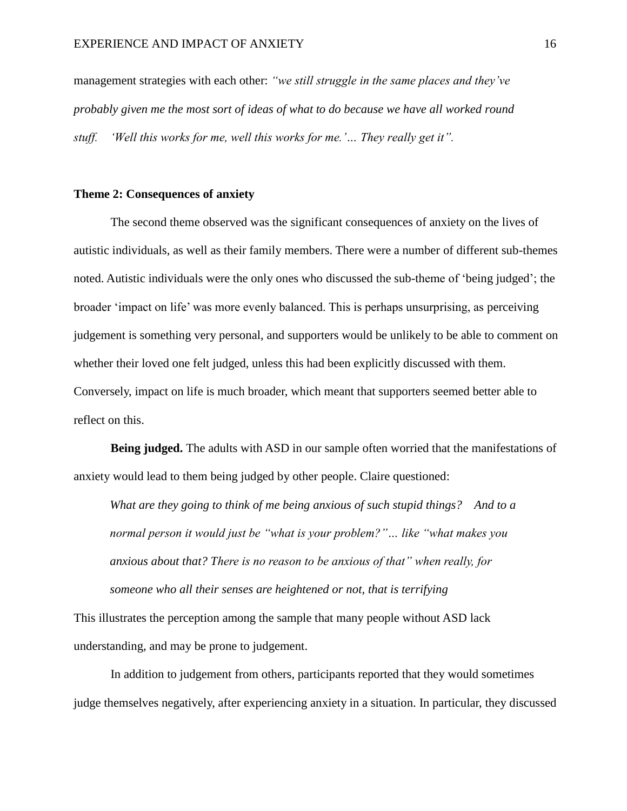management strategies with each other: *"we still struggle in the same places and they've probably given me the most sort of ideas of what to do because we have all worked round stuff. 'Well this works for me, well this works for me.'… They really get it".*

### **Theme 2: Consequences of anxiety**

The second theme observed was the significant consequences of anxiety on the lives of autistic individuals, as well as their family members. There were a number of different sub-themes noted. Autistic individuals were the only ones who discussed the sub-theme of 'being judged'; the broader 'impact on life' was more evenly balanced. This is perhaps unsurprising, as perceiving judgement is something very personal, and supporters would be unlikely to be able to comment on whether their loved one felt judged, unless this had been explicitly discussed with them. Conversely, impact on life is much broader, which meant that supporters seemed better able to reflect on this.

**Being judged.** The adults with ASD in our sample often worried that the manifestations of anxiety would lead to them being judged by other people. Claire questioned:

*What are they going to think of me being anxious of such stupid things? And to a normal person it would just be "what is your problem?"… like "what makes you anxious about that? There is no reason to be anxious of that" when really, for someone who all their senses are heightened or not, that is terrifying*

This illustrates the perception among the sample that many people without ASD lack understanding, and may be prone to judgement.

In addition to judgement from others, participants reported that they would sometimes judge themselves negatively, after experiencing anxiety in a situation. In particular, they discussed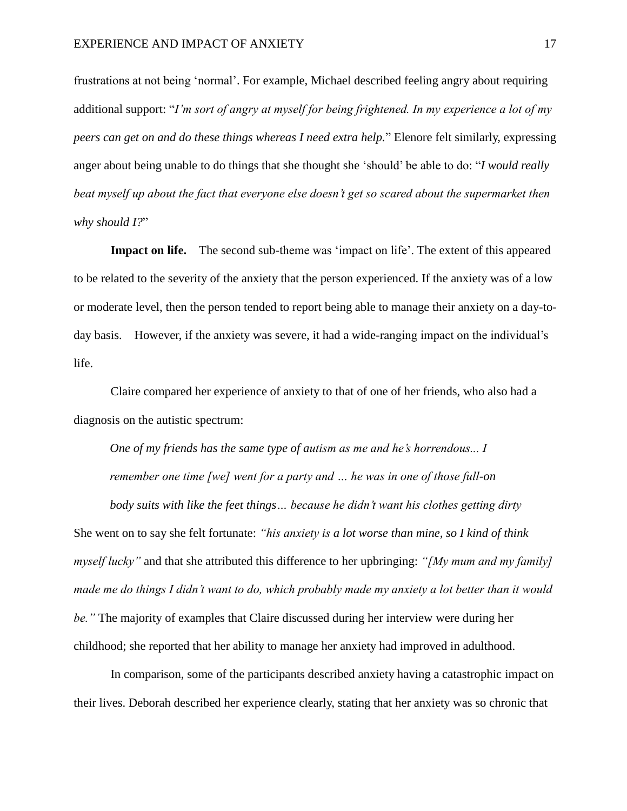frustrations at not being 'normal'. For example, Michael described feeling angry about requiring additional support: "*I'm sort of angry at myself for being frightened. In my experience a lot of my peers can get on and do these things whereas I need extra help.*" Elenore felt similarly, expressing anger about being unable to do things that she thought she 'should' be able to do: "*I would really beat myself up about the fact that everyone else doesn't get so scared about the supermarket then why should I?*"

**Impact on life.** The second sub-theme was 'impact on life'. The extent of this appeared to be related to the severity of the anxiety that the person experienced. If the anxiety was of a low or moderate level, then the person tended to report being able to manage their anxiety on a day-today basis. However, if the anxiety was severe, it had a wide-ranging impact on the individual's life.

Claire compared her experience of anxiety to that of one of her friends, who also had a diagnosis on the autistic spectrum:

*One of my friends has the same type of autism as me and he's horrendous... I remember one time [we] went for a party and … he was in one of those full-on* 

*body suits with like the feet things… because he didn't want his clothes getting dirty* She went on to say she felt fortunate: *"his anxiety is a lot worse than mine, so I kind of think myself lucky"* and that she attributed this difference to her upbringing: *"[My mum and my family] made me do things I didn't want to do, which probably made my anxiety a lot better than it would be."* The majority of examples that Claire discussed during her interview were during her childhood; she reported that her ability to manage her anxiety had improved in adulthood.

In comparison, some of the participants described anxiety having a catastrophic impact on their lives. Deborah described her experience clearly, stating that her anxiety was so chronic that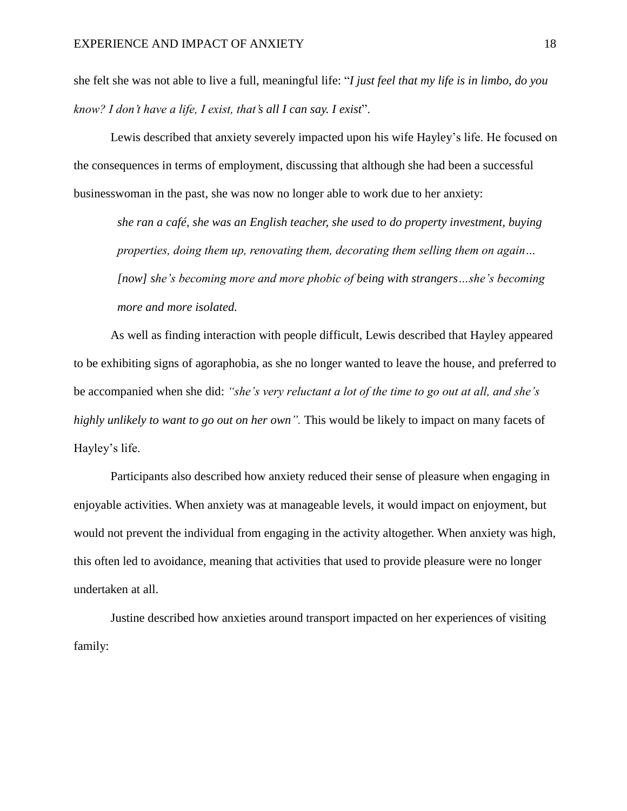she felt she was not able to live a full, meaningful life: "*I just feel that my life is in limbo, do you know? I don't have a life, I exist, that's all I can say. I exist*".

Lewis described that anxiety severely impacted upon his wife Hayley's life. He focused on the consequences in terms of employment, discussing that although she had been a successful businesswoman in the past, she was now no longer able to work due to her anxiety:

*she ran a café, she was an English teacher, she used to do property investment, buying properties, doing them up, renovating them, decorating them selling them on again… [now] she's becoming more and more phobic of being with strangers…she's becoming more and more isolated.*

As well as finding interaction with people difficult, Lewis described that Hayley appeared to be exhibiting signs of agoraphobia, as she no longer wanted to leave the house, and preferred to be accompanied when she did: *"she's very reluctant a lot of the time to go out at all, and she's highly unlikely to want to go out on her own".* This would be likely to impact on many facets of Hayley's life.

Participants also described how anxiety reduced their sense of pleasure when engaging in enjoyable activities. When anxiety was at manageable levels, it would impact on enjoyment, but would not prevent the individual from engaging in the activity altogether. When anxiety was high, this often led to avoidance, meaning that activities that used to provide pleasure were no longer undertaken at all.

Justine described how anxieties around transport impacted on her experiences of visiting family: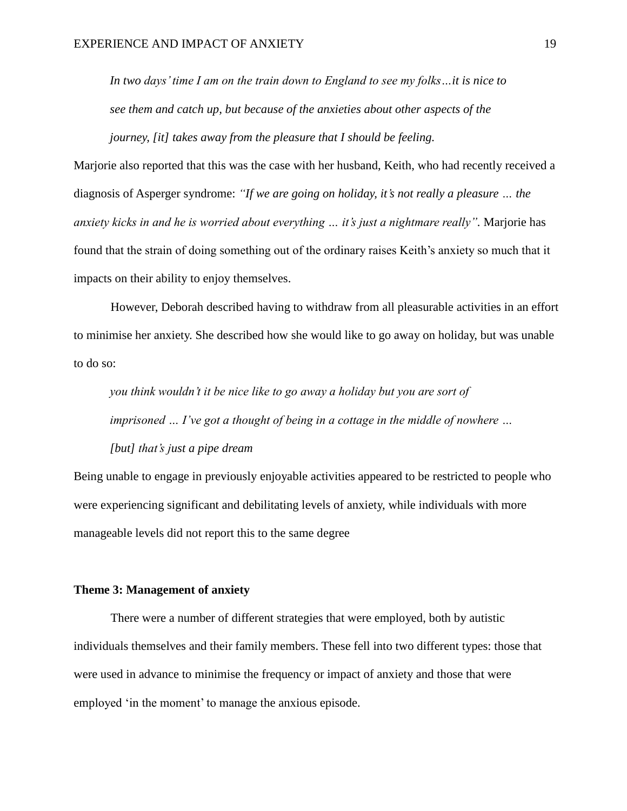*In two days' time I am on the train down to England to see my folks…it is nice to see them and catch up, but because of the anxieties about other aspects of the journey, [it] takes away from the pleasure that I should be feeling.*

Marjorie also reported that this was the case with her husband, Keith, who had recently received a diagnosis of Asperger syndrome: *"If we are going on holiday, it's not really a pleasure … the anxiety kicks in and he is worried about everything … it's just a nightmare really".* Marjorie has found that the strain of doing something out of the ordinary raises Keith's anxiety so much that it impacts on their ability to enjoy themselves.

However, Deborah described having to withdraw from all pleasurable activities in an effort to minimise her anxiety. She described how she would like to go away on holiday, but was unable to do so:

*you think wouldn't it be nice like to go away a holiday but you are sort of imprisoned … I've got a thought of being in a cottage in the middle of nowhere …* 

*[but] that's just a pipe dream*

Being unable to engage in previously enjoyable activities appeared to be restricted to people who were experiencing significant and debilitating levels of anxiety, while individuals with more manageable levels did not report this to the same degree

## **Theme 3: Management of anxiety**

There were a number of different strategies that were employed, both by autistic individuals themselves and their family members. These fell into two different types: those that were used in advance to minimise the frequency or impact of anxiety and those that were employed 'in the moment' to manage the anxious episode.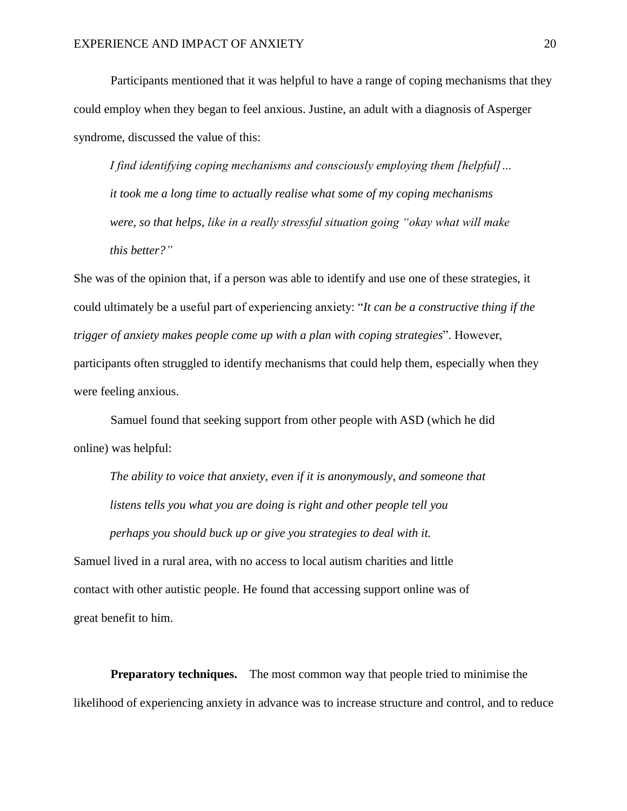Participants mentioned that it was helpful to have a range of coping mechanisms that they could employ when they began to feel anxious. Justine, an adult with a diagnosis of Asperger syndrome, discussed the value of this:

*I find identifying coping mechanisms and consciously employing them [helpful]… it took me a long time to actually realise what some of my coping mechanisms were, so that helps, like in a really stressful situation going "okay what will make this better?"*

She was of the opinion that, if a person was able to identify and use one of these strategies, it could ultimately be a useful part of experiencing anxiety: "*It can be a constructive thing if the trigger of anxiety makes people come up with a plan with coping strategies*". However, participants often struggled to identify mechanisms that could help them, especially when they were feeling anxious.

Samuel found that seeking support from other people with ASD (which he did online) was helpful:

*The ability to voice that anxiety, even if it is anonymously, and someone that listens tells you what you are doing is right and other people tell you perhaps you should buck up or give you strategies to deal with it.*

Samuel lived in a rural area, with no access to local autism charities and little contact with other autistic people. He found that accessing support online was of great benefit to him.

**Preparatory techniques.** The most common way that people tried to minimise the likelihood of experiencing anxiety in advance was to increase structure and control, and to reduce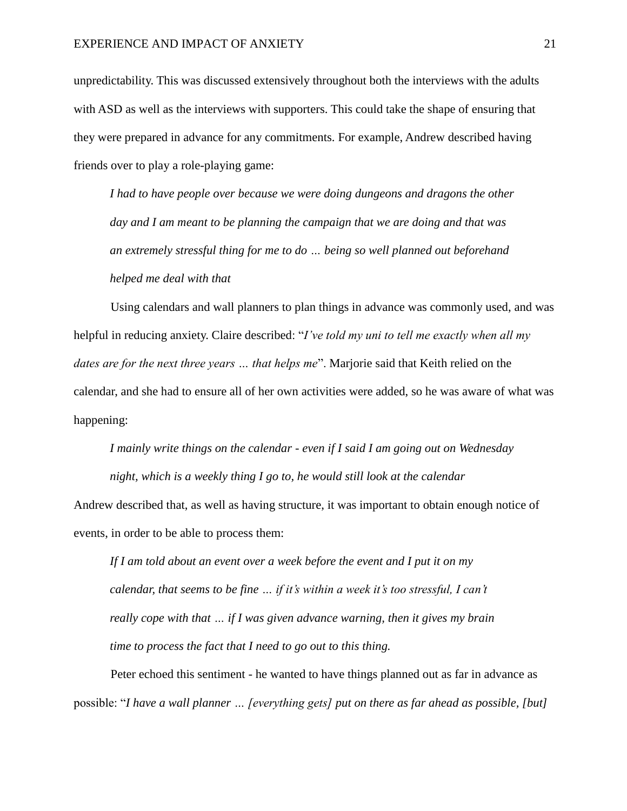unpredictability. This was discussed extensively throughout both the interviews with the adults with ASD as well as the interviews with supporters. This could take the shape of ensuring that they were prepared in advance for any commitments. For example, Andrew described having friends over to play a role-playing game:

*I had to have people over because we were doing dungeons and dragons the other day and I am meant to be planning the campaign that we are doing and that was an extremely stressful thing for me to do … being so well planned out beforehand helped me deal with that* 

Using calendars and wall planners to plan things in advance was commonly used, and was helpful in reducing anxiety. Claire described: "*I've told my uni to tell me exactly when all my dates are for the next three years … that helps me*". Marjorie said that Keith relied on the calendar, and she had to ensure all of her own activities were added, so he was aware of what was happening:

*I mainly write things on the calendar - even if I said I am going out on Wednesday night, which is a weekly thing I go to, he would still look at the calendar*  Andrew described that, as well as having structure, it was important to obtain enough notice of events, in order to be able to process them:

*If I am told about an event over a week before the event and I put it on my calendar, that seems to be fine … if it's within a week it's too stressful, I can't really cope with that … if I was given advance warning, then it gives my brain time to process the fact that I need to go out to this thing.* 

Peter echoed this sentiment - he wanted to have things planned out as far in advance as possible: "*I have a wall planner … [everything gets] put on there as far ahead as possible, [but]*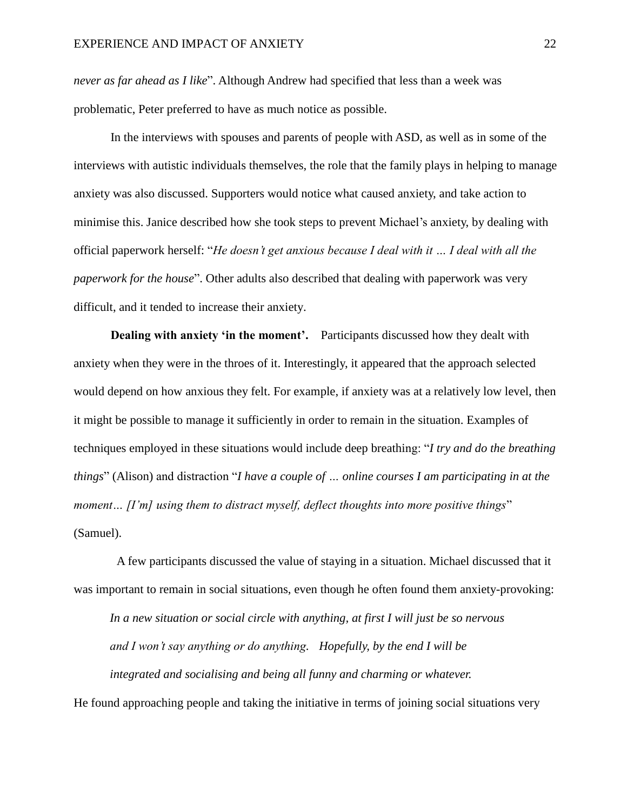*never as far ahead as I like*". Although Andrew had specified that less than a week was problematic, Peter preferred to have as much notice as possible.

In the interviews with spouses and parents of people with ASD, as well as in some of the interviews with autistic individuals themselves, the role that the family plays in helping to manage anxiety was also discussed. Supporters would notice what caused anxiety, and take action to minimise this. Janice described how she took steps to prevent Michael's anxiety, by dealing with official paperwork herself: "*He doesn't get anxious because I deal with it … I deal with all the paperwork for the house*". Other adults also described that dealing with paperwork was very difficult, and it tended to increase their anxiety.

**Dealing with anxiety 'in the moment'.** Participants discussed how they dealt with anxiety when they were in the throes of it. Interestingly, it appeared that the approach selected would depend on how anxious they felt. For example, if anxiety was at a relatively low level, then it might be possible to manage it sufficiently in order to remain in the situation. Examples of techniques employed in these situations would include deep breathing: "*I try and do the breathing things*" (Alison) and distraction "*I have a couple of … online courses I am participating in at the moment… [I'm] using them to distract myself, deflect thoughts into more positive things*" (Samuel).

A few participants discussed the value of staying in a situation. Michael discussed that it was important to remain in social situations, even though he often found them anxiety-provoking:

*In a new situation or social circle with anything, at first I will just be so nervous and I won't say anything or do anything. Hopefully, by the end I will be integrated and socialising and being all funny and charming or whatever.*

He found approaching people and taking the initiative in terms of joining social situations very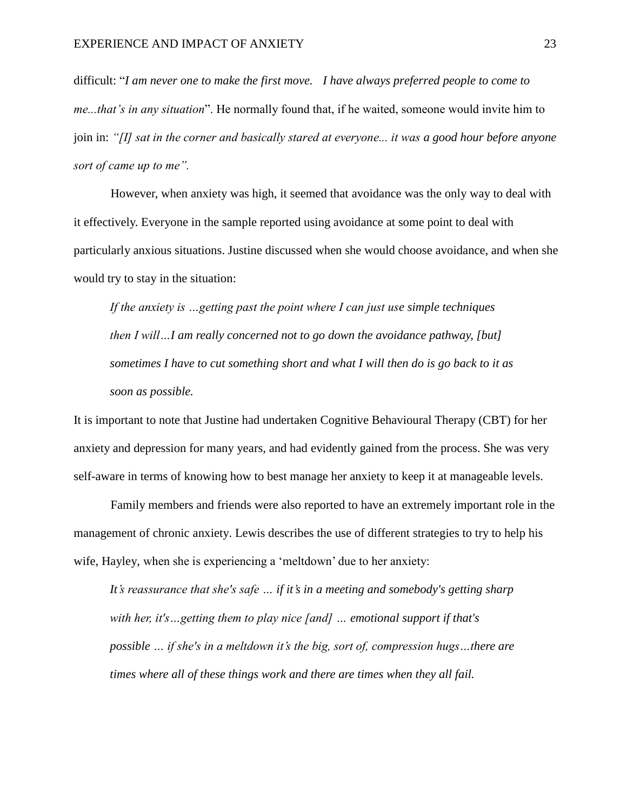difficult: "*I am never one to make the first move. I have always preferred people to come to me...that's in any situation*". He normally found that, if he waited, someone would invite him to join in: *"[I] sat in the corner and basically stared at everyone... it was a good hour before anyone sort of came up to me".*

However, when anxiety was high, it seemed that avoidance was the only way to deal with it effectively. Everyone in the sample reported using avoidance at some point to deal with particularly anxious situations. Justine discussed when she would choose avoidance, and when she would try to stay in the situation:

*If the anxiety is …getting past the point where I can just use simple techniques then I will…I am really concerned not to go down the avoidance pathway, [but] sometimes I have to cut something short and what I will then do is go back to it as soon as possible.* 

It is important to note that Justine had undertaken Cognitive Behavioural Therapy (CBT) for her anxiety and depression for many years, and had evidently gained from the process. She was very self-aware in terms of knowing how to best manage her anxiety to keep it at manageable levels.

Family members and friends were also reported to have an extremely important role in the management of chronic anxiety. Lewis describes the use of different strategies to try to help his wife, Hayley, when she is experiencing a 'meltdown' due to her anxiety:

*It's reassurance that she's safe … if it's in a meeting and somebody's getting sharp with her, it's…getting them to play nice [and] … emotional support if that's possible … if she's in a meltdown it's the big, sort of, compression hugs…there are times where all of these things work and there are times when they all fail.*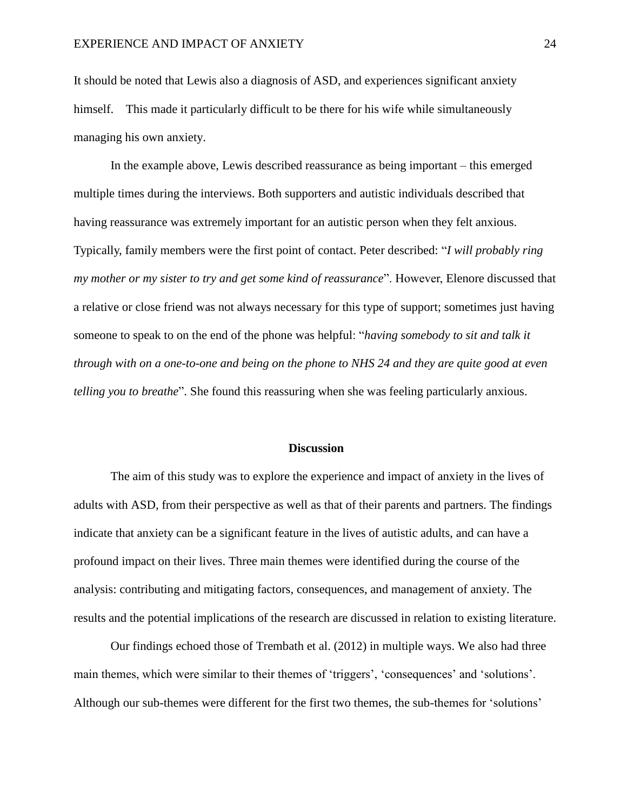It should be noted that Lewis also a diagnosis of ASD, and experiences significant anxiety himself. This made it particularly difficult to be there for his wife while simultaneously managing his own anxiety.

In the example above, Lewis described reassurance as being important – this emerged multiple times during the interviews. Both supporters and autistic individuals described that having reassurance was extremely important for an autistic person when they felt anxious. Typically, family members were the first point of contact. Peter described: "*I will probably ring my mother or my sister to try and get some kind of reassurance*". However, Elenore discussed that a relative or close friend was not always necessary for this type of support; sometimes just having someone to speak to on the end of the phone was helpful: "*having somebody to sit and talk it through with on a one-to-one and being on the phone to NHS 24 and they are quite good at even telling you to breathe*". She found this reassuring when she was feeling particularly anxious.

#### **Discussion**

The aim of this study was to explore the experience and impact of anxiety in the lives of adults with ASD, from their perspective as well as that of their parents and partners. The findings indicate that anxiety can be a significant feature in the lives of autistic adults, and can have a profound impact on their lives. Three main themes were identified during the course of the analysis: contributing and mitigating factors, consequences, and management of anxiety. The results and the potential implications of the research are discussed in relation to existing literature.

Our findings echoed those of Trembath et al. (2012) in multiple ways. We also had three main themes, which were similar to their themes of 'triggers', 'consequences' and 'solutions'. Although our sub-themes were different for the first two themes, the sub-themes for 'solutions'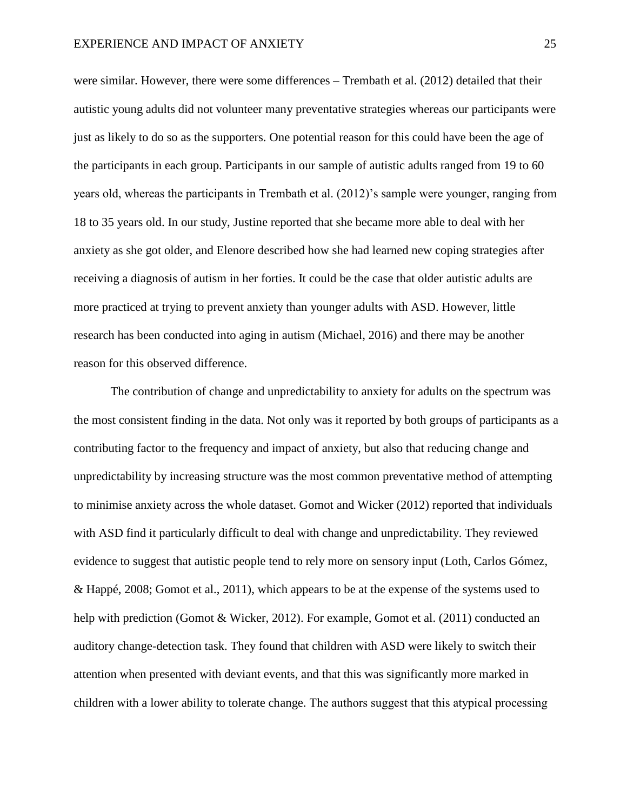were similar. However, there were some differences – Trembath et al. (2012) detailed that their autistic young adults did not volunteer many preventative strategies whereas our participants were just as likely to do so as the supporters. One potential reason for this could have been the age of the participants in each group. Participants in our sample of autistic adults ranged from 19 to 60 years old, whereas the participants in Trembath et al. (2012)'s sample were younger, ranging from 18 to 35 years old. In our study, Justine reported that she became more able to deal with her anxiety as she got older, and Elenore described how she had learned new coping strategies after receiving a diagnosis of autism in her forties. It could be the case that older autistic adults are more practiced at trying to prevent anxiety than younger adults with ASD. However, little research has been conducted into aging in autism (Michael, 2016) and there may be another reason for this observed difference.

The contribution of change and unpredictability to anxiety for adults on the spectrum was the most consistent finding in the data. Not only was it reported by both groups of participants as a contributing factor to the frequency and impact of anxiety, but also that reducing change and unpredictability by increasing structure was the most common preventative method of attempting to minimise anxiety across the whole dataset. Gomot and Wicker (2012) reported that individuals with ASD find it particularly difficult to deal with change and unpredictability. They reviewed evidence to suggest that autistic people tend to rely more on sensory input (Loth, Carlos Gómez, & Happé, 2008; Gomot et al., 2011), which appears to be at the expense of the systems used to help with prediction (Gomot & Wicker, 2012). For example, Gomot et al. (2011) conducted an auditory change-detection task. They found that children with ASD were likely to switch their attention when presented with deviant events, and that this was significantly more marked in children with a lower ability to tolerate change. The authors suggest that this atypical processing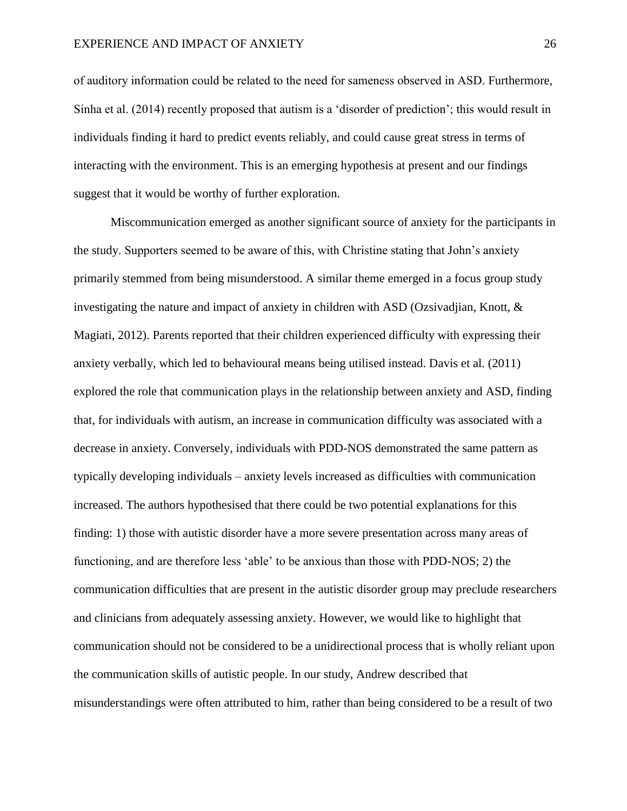of auditory information could be related to the need for sameness observed in ASD. Furthermore, Sinha et al. (2014) recently proposed that autism is a 'disorder of prediction'; this would result in individuals finding it hard to predict events reliably, and could cause great stress in terms of interacting with the environment. This is an emerging hypothesis at present and our findings suggest that it would be worthy of further exploration.

Miscommunication emerged as another significant source of anxiety for the participants in the study. Supporters seemed to be aware of this, with Christine stating that John's anxiety primarily stemmed from being misunderstood. A similar theme emerged in a focus group study investigating the nature and impact of anxiety in children with ASD (Ozsivadjian, Knott, & Magiati, 2012). Parents reported that their children experienced difficulty with expressing their anxiety verbally, which led to behavioural means being utilised instead. Davis et al. (2011) explored the role that communication plays in the relationship between anxiety and ASD, finding that, for individuals with autism, an increase in communication difficulty was associated with a decrease in anxiety. Conversely, individuals with PDD-NOS demonstrated the same pattern as typically developing individuals – anxiety levels increased as difficulties with communication increased. The authors hypothesised that there could be two potential explanations for this finding: 1) those with autistic disorder have a more severe presentation across many areas of functioning, and are therefore less 'able' to be anxious than those with PDD-NOS; 2) the communication difficulties that are present in the autistic disorder group may preclude researchers and clinicians from adequately assessing anxiety. However, we would like to highlight that communication should not be considered to be a unidirectional process that is wholly reliant upon the communication skills of autistic people. In our study, Andrew described that misunderstandings were often attributed to him, rather than being considered to be a result of two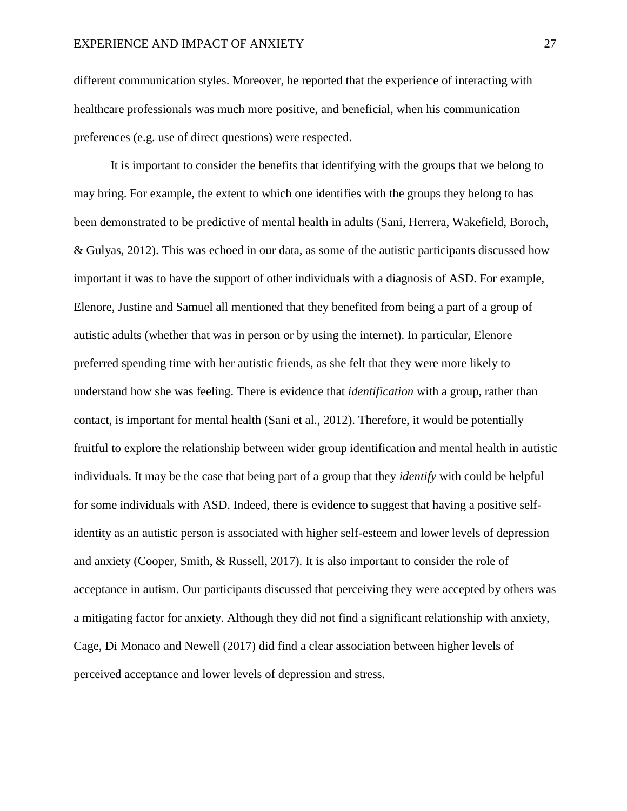different communication styles. Moreover, he reported that the experience of interacting with healthcare professionals was much more positive, and beneficial, when his communication preferences (e.g. use of direct questions) were respected.

It is important to consider the benefits that identifying with the groups that we belong to may bring. For example, the extent to which one identifies with the groups they belong to has been demonstrated to be predictive of mental health in adults (Sani, Herrera, Wakefield, Boroch, & Gulyas, 2012). This was echoed in our data, as some of the autistic participants discussed how important it was to have the support of other individuals with a diagnosis of ASD. For example, Elenore, Justine and Samuel all mentioned that they benefited from being a part of a group of autistic adults (whether that was in person or by using the internet). In particular, Elenore preferred spending time with her autistic friends, as she felt that they were more likely to understand how she was feeling. There is evidence that *identification* with a group, rather than contact, is important for mental health (Sani et al., 2012). Therefore, it would be potentially fruitful to explore the relationship between wider group identification and mental health in autistic individuals. It may be the case that being part of a group that they *identify* with could be helpful for some individuals with ASD. Indeed, there is evidence to suggest that having a positive selfidentity as an autistic person is associated with higher self-esteem and lower levels of depression and anxiety (Cooper, Smith, & Russell, 2017). It is also important to consider the role of acceptance in autism. Our participants discussed that perceiving they were accepted by others was a mitigating factor for anxiety. Although they did not find a significant relationship with anxiety, Cage, Di Monaco and Newell (2017) did find a clear association between higher levels of perceived acceptance and lower levels of depression and stress.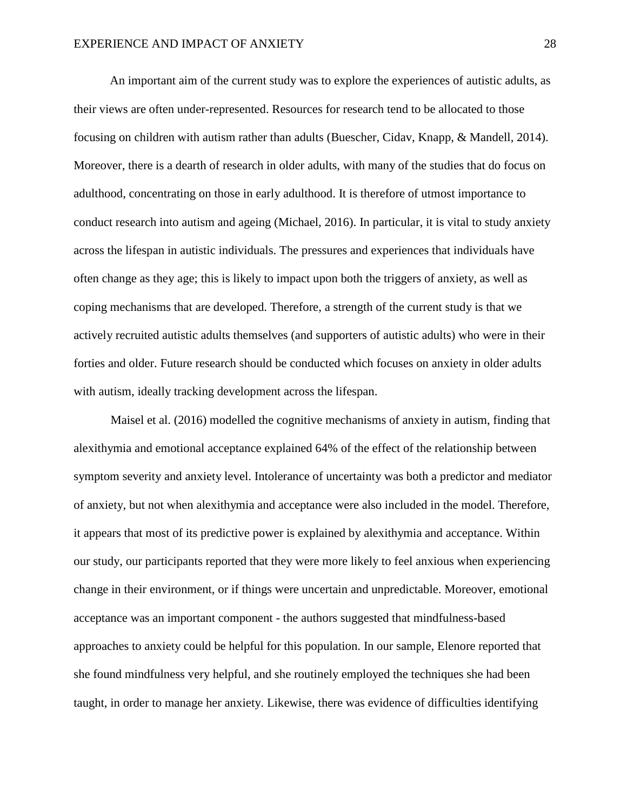An important aim of the current study was to explore the experiences of autistic adults, as their views are often under-represented. Resources for research tend to be allocated to those focusing on children with autism rather than adults (Buescher, Cidav, Knapp, & Mandell, 2014). Moreover, there is a dearth of research in older adults, with many of the studies that do focus on adulthood, concentrating on those in early adulthood. It is therefore of utmost importance to conduct research into autism and ageing (Michael, 2016). In particular, it is vital to study anxiety across the lifespan in autistic individuals. The pressures and experiences that individuals have often change as they age; this is likely to impact upon both the triggers of anxiety, as well as coping mechanisms that are developed. Therefore, a strength of the current study is that we actively recruited autistic adults themselves (and supporters of autistic adults) who were in their forties and older. Future research should be conducted which focuses on anxiety in older adults with autism, ideally tracking development across the lifespan.

Maisel et al. (2016) modelled the cognitive mechanisms of anxiety in autism, finding that alexithymia and emotional acceptance explained 64% of the effect of the relationship between symptom severity and anxiety level. Intolerance of uncertainty was both a predictor and mediator of anxiety, but not when alexithymia and acceptance were also included in the model. Therefore, it appears that most of its predictive power is explained by alexithymia and acceptance. Within our study, our participants reported that they were more likely to feel anxious when experiencing change in their environment, or if things were uncertain and unpredictable. Moreover, emotional acceptance was an important component - the authors suggested that mindfulness-based approaches to anxiety could be helpful for this population. In our sample, Elenore reported that she found mindfulness very helpful, and she routinely employed the techniques she had been taught, in order to manage her anxiety. Likewise, there was evidence of difficulties identifying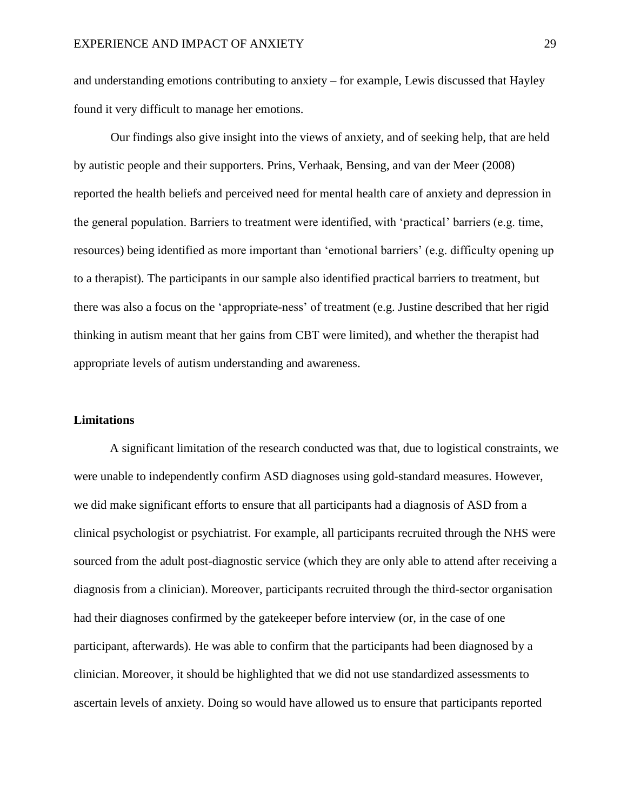and understanding emotions contributing to anxiety – for example, Lewis discussed that Hayley found it very difficult to manage her emotions.

Our findings also give insight into the views of anxiety, and of seeking help, that are held by autistic people and their supporters. Prins, Verhaak, Bensing, and van der Meer (2008) reported the health beliefs and perceived need for mental health care of anxiety and depression in the general population. Barriers to treatment were identified, with 'practical' barriers (e.g. time, resources) being identified as more important than 'emotional barriers' (e.g. difficulty opening up to a therapist). The participants in our sample also identified practical barriers to treatment, but there was also a focus on the 'appropriate-ness' of treatment (e.g. Justine described that her rigid thinking in autism meant that her gains from CBT were limited), and whether the therapist had appropriate levels of autism understanding and awareness.

#### **Limitations**

A significant limitation of the research conducted was that, due to logistical constraints, we were unable to independently confirm ASD diagnoses using gold-standard measures. However, we did make significant efforts to ensure that all participants had a diagnosis of ASD from a clinical psychologist or psychiatrist. For example, all participants recruited through the NHS were sourced from the adult post-diagnostic service (which they are only able to attend after receiving a diagnosis from a clinician). Moreover, participants recruited through the third-sector organisation had their diagnoses confirmed by the gatekeeper before interview (or, in the case of one participant, afterwards). He was able to confirm that the participants had been diagnosed by a clinician. Moreover, it should be highlighted that we did not use standardized assessments to ascertain levels of anxiety. Doing so would have allowed us to ensure that participants reported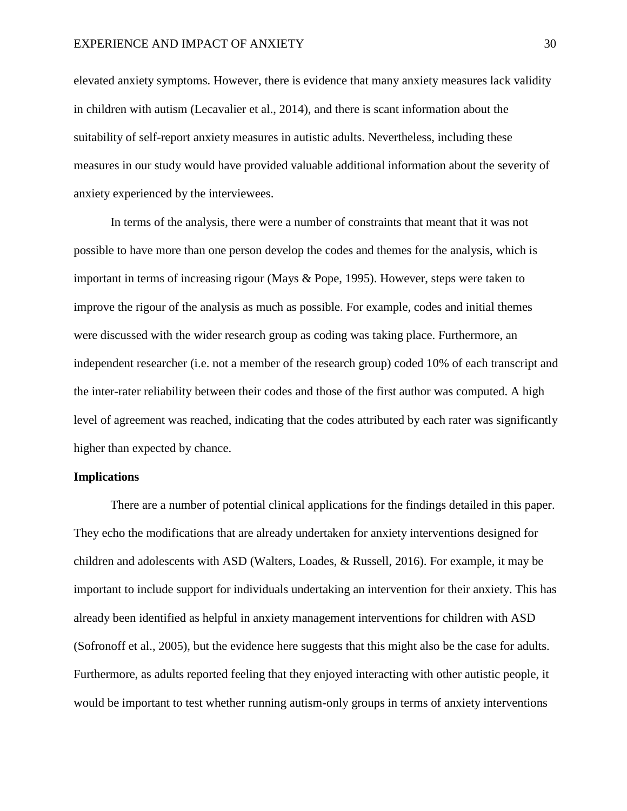elevated anxiety symptoms. However, there is evidence that many anxiety measures lack validity in children with autism (Lecavalier et al., 2014), and there is scant information about the suitability of self-report anxiety measures in autistic adults. Nevertheless, including these measures in our study would have provided valuable additional information about the severity of anxiety experienced by the interviewees.

In terms of the analysis, there were a number of constraints that meant that it was not possible to have more than one person develop the codes and themes for the analysis, which is important in terms of increasing rigour (Mays & Pope, 1995). However, steps were taken to improve the rigour of the analysis as much as possible. For example, codes and initial themes were discussed with the wider research group as coding was taking place. Furthermore, an independent researcher (i.e. not a member of the research group) coded 10% of each transcript and the inter-rater reliability between their codes and those of the first author was computed. A high level of agreement was reached, indicating that the codes attributed by each rater was significantly higher than expected by chance.

## **Implications**

There are a number of potential clinical applications for the findings detailed in this paper. They echo the modifications that are already undertaken for anxiety interventions designed for children and adolescents with ASD (Walters, Loades, & Russell, 2016). For example, it may be important to include support for individuals undertaking an intervention for their anxiety. This has already been identified as helpful in anxiety management interventions for children with ASD (Sofronoff et al., 2005), but the evidence here suggests that this might also be the case for adults. Furthermore, as adults reported feeling that they enjoyed interacting with other autistic people, it would be important to test whether running autism-only groups in terms of anxiety interventions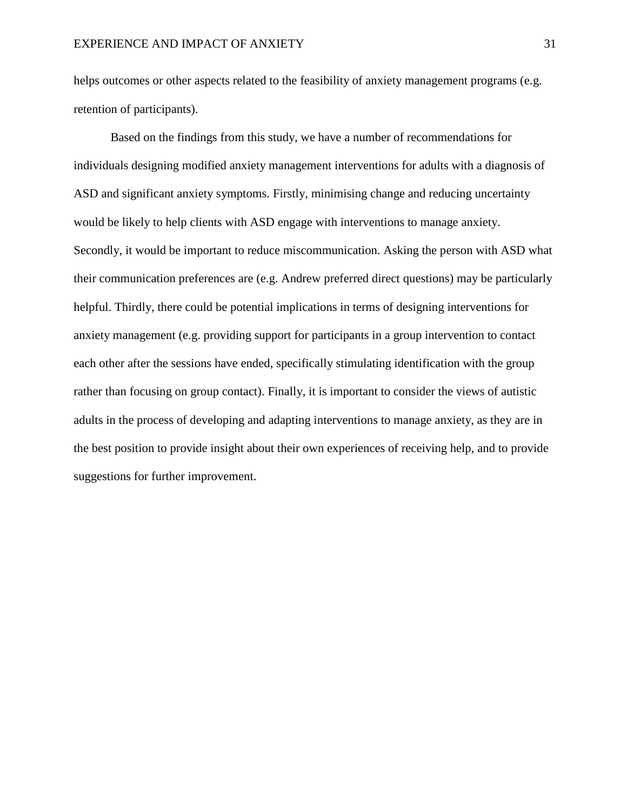helps outcomes or other aspects related to the feasibility of anxiety management programs (e.g. retention of participants).

Based on the findings from this study, we have a number of recommendations for individuals designing modified anxiety management interventions for adults with a diagnosis of ASD and significant anxiety symptoms. Firstly, minimising change and reducing uncertainty would be likely to help clients with ASD engage with interventions to manage anxiety. Secondly, it would be important to reduce miscommunication. Asking the person with ASD what their communication preferences are (e.g. Andrew preferred direct questions) may be particularly helpful. Thirdly, there could be potential implications in terms of designing interventions for anxiety management (e.g. providing support for participants in a group intervention to contact each other after the sessions have ended, specifically stimulating identification with the group rather than focusing on group contact). Finally, it is important to consider the views of autistic adults in the process of developing and adapting interventions to manage anxiety, as they are in the best position to provide insight about their own experiences of receiving help, and to provide suggestions for further improvement.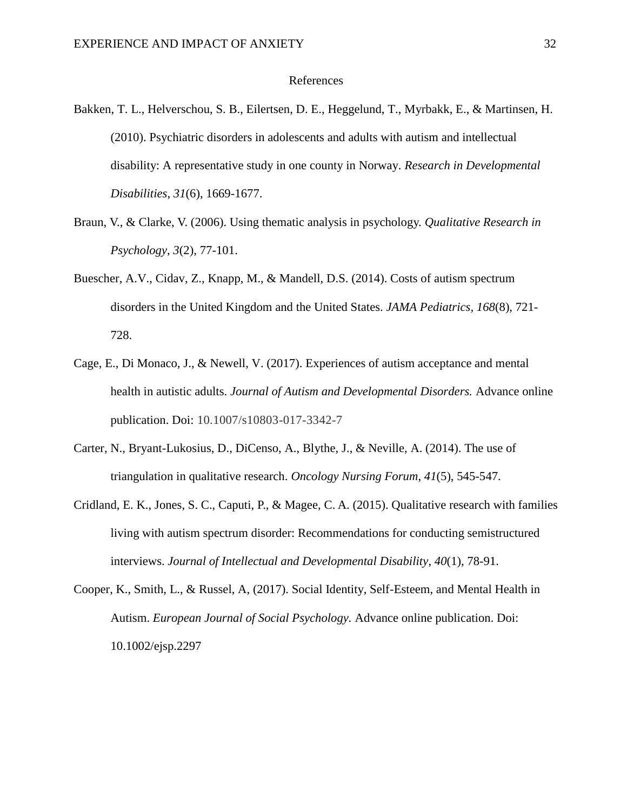#### References

- Bakken, T. L., Helverschou, S. B., Eilertsen, D. E., Heggelund, T., Myrbakk, E., & Martinsen, H. (2010). Psychiatric disorders in adolescents and adults with autism and intellectual disability: A representative study in one county in Norway. *Research in Developmental Disabilities*, *31*(6), 1669-1677.
- Braun, V., & Clarke, V. (2006). Using thematic analysis in psychology. *Qualitative Research in Psychology*, *3*(2), 77-101.
- Buescher, A.V., Cidav, Z., Knapp, M., & Mandell, D.S. (2014). Costs of autism spectrum disorders in the United Kingdom and the United States. *JAMA Pediatrics, 168*(8), 721- 728.
- Cage, E., Di Monaco, J., & Newell, V. (2017). Experiences of autism acceptance and mental health in autistic adults. *Journal of Autism and Developmental Disorders.* Advance online publication. Doi: 10.1007/s10803-017-3342-7
- Carter, N., Bryant-Lukosius, D., DiCenso, A., Blythe, J., & Neville, A. (2014). The use of triangulation in qualitative research. *Oncology Nursing Forum*, *41*(5), 545-547.
- Cridland, E. K., Jones, S. C., Caputi, P., & Magee, C. A. (2015). Qualitative research with families living with autism spectrum disorder: Recommendations for conducting semistructured interviews. *Journal of Intellectual and Developmental Disability*, *40*(1), 78-91.
- Cooper, K., Smith, L., & Russel, A, (2017). Social Identity, Self-Esteem, and Mental Health in Autism. *European Journal of Social Psychology.* Advance online publication. Doi: 10.1002/ejsp.2297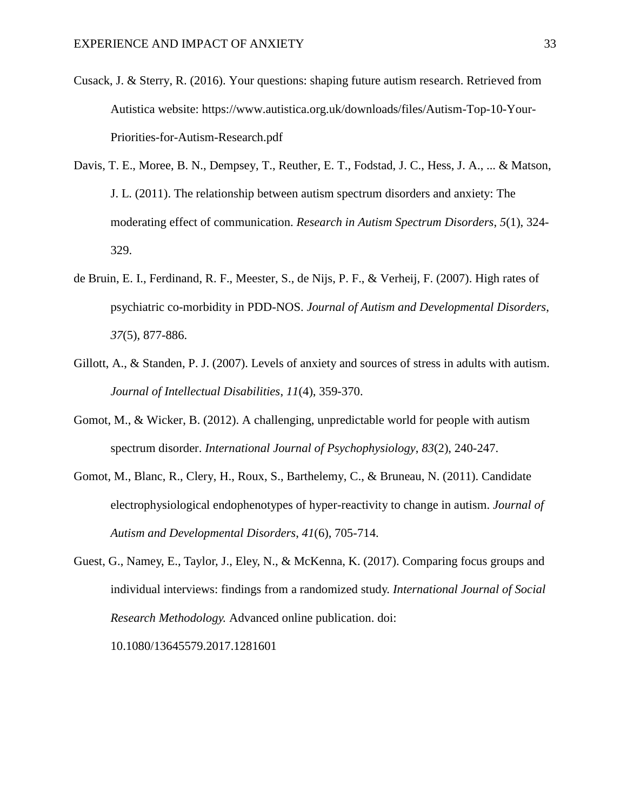- Cusack, J. & Sterry, R. (2016). Your questions: shaping future autism research. Retrieved from Autistica website: [https://www.autistica.org.uk/downloads/files/Autism-Top-10-Your-](https://www.autistica.org.uk/downloads/files/Autism-Top-10-Your-Priorities-for-Autism-Research.pdf)[Priorities-for-Autism-Research.pdf](https://www.autistica.org.uk/downloads/files/Autism-Top-10-Your-Priorities-for-Autism-Research.pdf)
- Davis, T. E., Moree, B. N., Dempsey, T., Reuther, E. T., Fodstad, J. C., Hess, J. A., ... & Matson, J. L. (2011). The relationship between autism spectrum disorders and anxiety: The moderating effect of communication. *Research in Autism Spectrum Disorders*, *5*(1), 324- 329.
- de Bruin, E. I., Ferdinand, R. F., Meester, S., de Nijs, P. F., & Verheij, F. (2007). High rates of psychiatric co-morbidity in PDD-NOS. *Journal of Autism and Developmental Disorders*, *37*(5), 877-886.
- Gillott, A., & Standen, P. J. (2007). Levels of anxiety and sources of stress in adults with autism. *Journal of Intellectual Disabilities*, *11*(4), 359-370.
- Gomot, M., & Wicker, B. (2012). A challenging, unpredictable world for people with autism spectrum disorder. *International Journal of Psychophysiology*, *83*(2), 240-247.
- Gomot, M., Blanc, R., Clery, H., Roux, S., Barthelemy, C., & Bruneau, N. (2011). Candidate electrophysiological endophenotypes of hyper-reactivity to change in autism. *Journal of Autism and Developmental Disorders*, *41*(6), 705-714.
- Guest, G., Namey, E., Taylor, J., Eley, N., & McKenna, K. (2017). Comparing focus groups and individual interviews: findings from a randomized study. *International Journal of Social Research Methodology.* Advanced online publication. doi:

10.1080/13645579.2017.1281601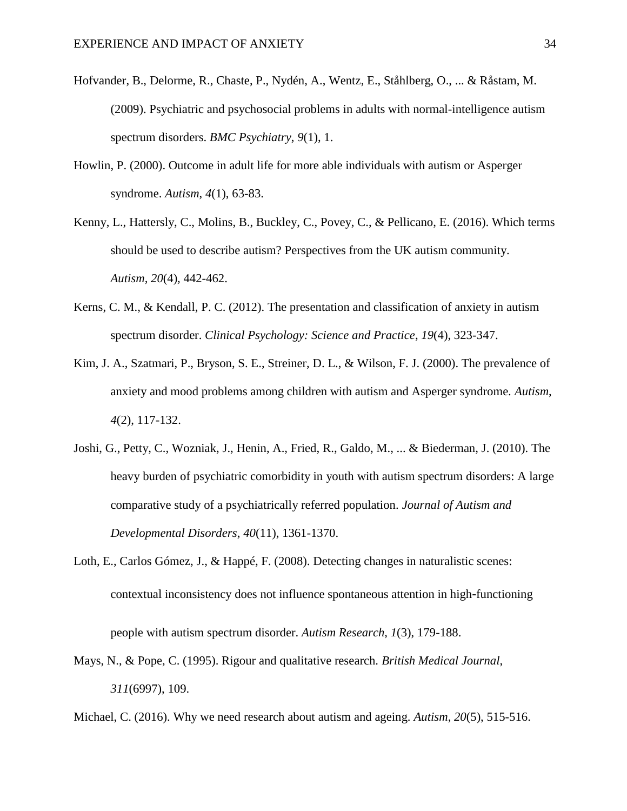- Hofvander, B., Delorme, R., Chaste, P., Nydén, A., Wentz, E., Ståhlberg, O., ... & Råstam, M. (2009). Psychiatric and psychosocial problems in adults with normal-intelligence autism spectrum disorders. *BMC Psychiatry*, *9*(1), 1.
- Howlin, P. (2000). Outcome in adult life for more able individuals with autism or Asperger syndrome. *Autism*, *4*(1), 63-83.
- Kenny, L., Hattersly, C., Molins, B., Buckley, C., Povey, C., & Pellicano, E. (2016). Which terms should be used to describe autism? Perspectives from the UK autism community. *Autism, 20*(4)*,* 442-462.
- Kerns, C. M., & Kendall, P. C. (2012). The presentation and classification of anxiety in autism spectrum disorder. *Clinical Psychology: Science and Practice*, *19*(4), 323-347.
- Kim, J. A., Szatmari, P., Bryson, S. E., Streiner, D. L., & Wilson, F. J. (2000). The prevalence of anxiety and mood problems among children with autism and Asperger syndrome. *Autism*, *4*(2), 117-132.
- Joshi, G., Petty, C., Wozniak, J., Henin, A., Fried, R., Galdo, M., ... & Biederman, J. (2010). The heavy burden of psychiatric comorbidity in youth with autism spectrum disorders: A large comparative study of a psychiatrically referred population. *Journal of Autism and Developmental Disorders*, *40*(11), 1361-1370.
- Loth, E., Carlos Gómez, J., & Happé, F. (2008). Detecting changes in naturalistic scenes: contextual inconsistency does not influence spontaneous attention in high‐functioning

people with autism spectrum disorder. *Autism Research*, *1*(3), 179-188.

- Mays, N., & Pope, C. (1995). Rigour and qualitative research. *British Medical Journal*, *311*(6997), 109.
- Michael, C. (2016). Why we need research about autism and ageing. *Autism*, *20*(5), 515-516.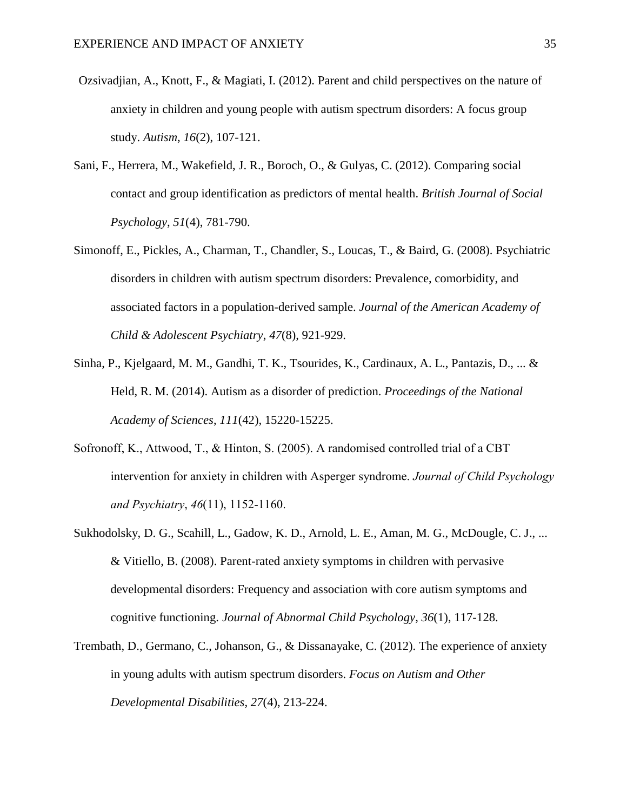- Ozsivadjian, A., Knott, F., & Magiati, I. (2012). Parent and child perspectives on the nature of anxiety in children and young people with autism spectrum disorders: A focus group study. *Autism*, *16*(2), 107-121.
- Sani, F., Herrera, M., Wakefield, J. R., Boroch, O., & Gulyas, C. (2012). Comparing social contact and group identification as predictors of mental health. *British Journal of Social Psychology*, *51*(4), 781-790.
- Simonoff, E., Pickles, A., Charman, T., Chandler, S., Loucas, T., & Baird, G. (2008). Psychiatric disorders in children with autism spectrum disorders: Prevalence, comorbidity, and associated factors in a population-derived sample. *Journal of the American Academy of Child & Adolescent Psychiatry*, *47*(8), 921-929.
- Sinha, P., Kjelgaard, M. M., Gandhi, T. K., Tsourides, K., Cardinaux, A. L., Pantazis, D., ... & Held, R. M. (2014). Autism as a disorder of prediction. *Proceedings of the National Academy of Sciences*, *111*(42), 15220-15225.
- Sofronoff, K., Attwood, T., & Hinton, S. (2005). A randomised controlled trial of a CBT intervention for anxiety in children with Asperger syndrome. *Journal of Child Psychology and Psychiatry*, *46*(11), 1152-1160.
- Sukhodolsky, D. G., Scahill, L., Gadow, K. D., Arnold, L. E., Aman, M. G., McDougle, C. J., ... & Vitiello, B. (2008). Parent-rated anxiety symptoms in children with pervasive developmental disorders: Frequency and association with core autism symptoms and cognitive functioning. *Journal of Abnormal Child Psychology*, *36*(1), 117-128.
- Trembath, D., Germano, C., Johanson, G., & Dissanayake, C. (2012). The experience of anxiety in young adults with autism spectrum disorders. *Focus on Autism and Other Developmental Disabilities*, *27*(4), 213-224.